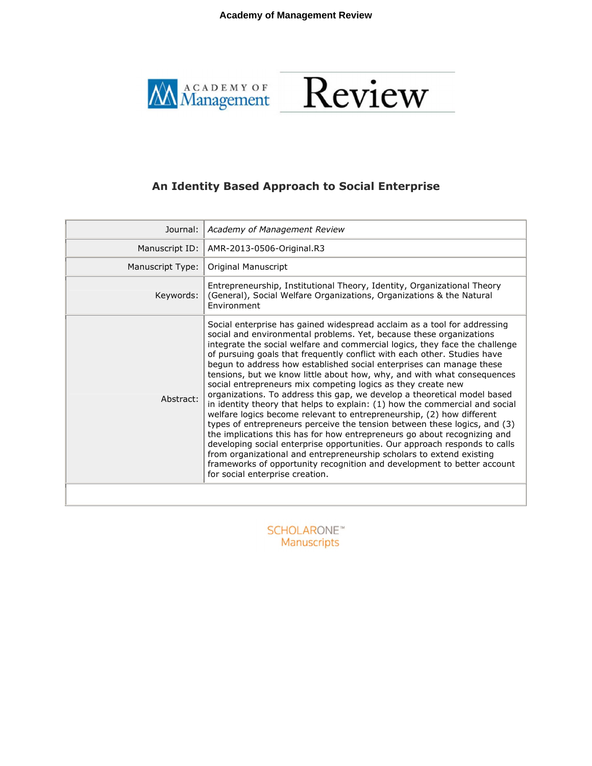

# **MA ACADEMY OF** Review

# **An Identity Based Approach to Social Enterprise**

| Journal:         | Academy of Management Review                                                                                                                                                                                                                                                                                                                                                                                                                                                                                                                                                                                                                                                                                                                                                                                                                                                                                                                                                                                                                                                                                                                                                                   |
|------------------|------------------------------------------------------------------------------------------------------------------------------------------------------------------------------------------------------------------------------------------------------------------------------------------------------------------------------------------------------------------------------------------------------------------------------------------------------------------------------------------------------------------------------------------------------------------------------------------------------------------------------------------------------------------------------------------------------------------------------------------------------------------------------------------------------------------------------------------------------------------------------------------------------------------------------------------------------------------------------------------------------------------------------------------------------------------------------------------------------------------------------------------------------------------------------------------------|
| Manuscript ID:   | AMR-2013-0506-Original.R3                                                                                                                                                                                                                                                                                                                                                                                                                                                                                                                                                                                                                                                                                                                                                                                                                                                                                                                                                                                                                                                                                                                                                                      |
| Manuscript Type: | Original Manuscript                                                                                                                                                                                                                                                                                                                                                                                                                                                                                                                                                                                                                                                                                                                                                                                                                                                                                                                                                                                                                                                                                                                                                                            |
| Keywords:        | Entrepreneurship, Institutional Theory, Identity, Organizational Theory<br>(General), Social Welfare Organizations, Organizations & the Natural<br>Environment                                                                                                                                                                                                                                                                                                                                                                                                                                                                                                                                                                                                                                                                                                                                                                                                                                                                                                                                                                                                                                 |
| Abstract:        | Social enterprise has gained widespread acclaim as a tool for addressing<br>social and environmental problems. Yet, because these organizations<br>integrate the social welfare and commercial logics, they face the challenge<br>of pursuing goals that frequently conflict with each other. Studies have<br>begun to address how established social enterprises can manage these<br>tensions, but we know little about how, why, and with what consequences<br>social entrepreneurs mix competing logics as they create new<br>organizations. To address this gap, we develop a theoretical model based<br>in identity theory that helps to explain: (1) how the commercial and social<br>welfare logics become relevant to entrepreneurship, (2) how different<br>types of entrepreneurs perceive the tension between these logics, and (3)<br>the implications this has for how entrepreneurs go about recognizing and<br>developing social enterprise opportunities. Our approach responds to calls<br>from organizational and entrepreneurship scholars to extend existing<br>frameworks of opportunity recognition and development to better account<br>for social enterprise creation. |
|                  |                                                                                                                                                                                                                                                                                                                                                                                                                                                                                                                                                                                                                                                                                                                                                                                                                                                                                                                                                                                                                                                                                                                                                                                                |

**SCHOLARONE™** Manuscripts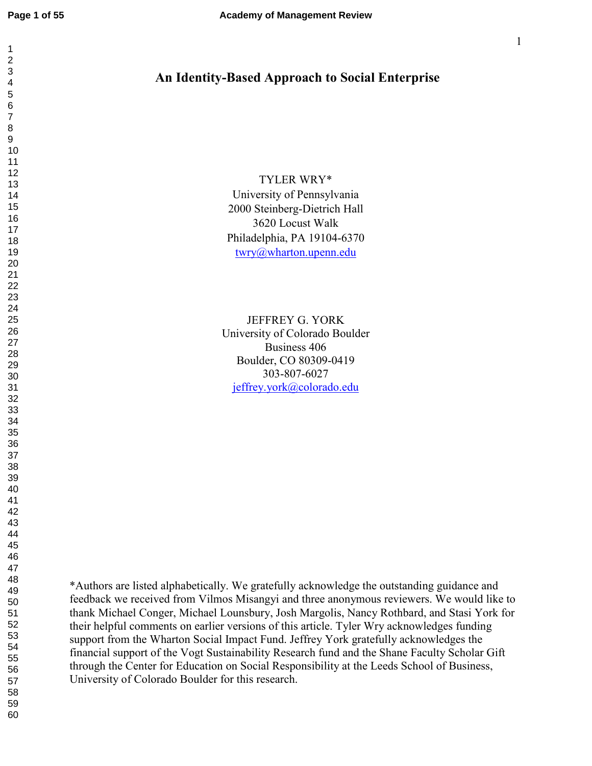# **An Identity-Based Approach to Social Enterprise**

TYLER WRY\* University of Pennsylvania 2000 Steinberg-Dietrich Hall 3620 Locust Walk Philadelphia, PA 19104-6370 twry@wharton.upenn.edu

JEFFREY G. YORK University of Colorado Boulder Business 406 Boulder, CO 80309-0419 303-807-6027 jeffrey.york@colorado.edu

\*Authors are listed alphabetically. We gratefully acknowledge the outstanding guidance and feedback we received from Vilmos Misangyi and three anonymous reviewers. We would like to thank Michael Conger, Michael Lounsbury, Josh Margolis, Nancy Rothbard, and Stasi York for their helpful comments on earlier versions of this article. Tyler Wry acknowledges funding support from the Wharton Social Impact Fund. Jeffrey York gratefully acknowledges the financial support of the Vogt Sustainability Research fund and the Shane Faculty Scholar Gift through the Center for Education on Social Responsibility at the Leeds School of Business, University of Colorado Boulder for this research.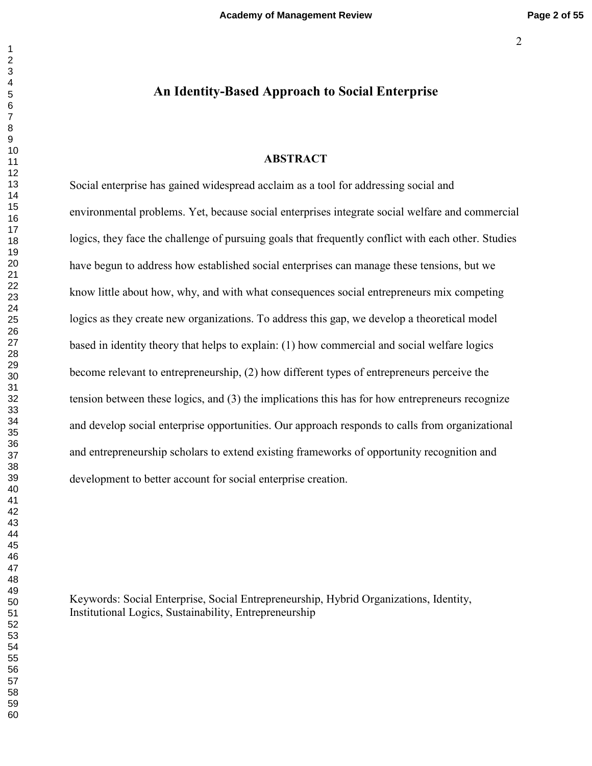# **An Identity-Based Approach to Social Enterprise**

# **ABSTRACT**

Social enterprise has gained widespread acclaim as a tool for addressing social and environmental problems. Yet, because social enterprises integrate social welfare and commercial logics, they face the challenge of pursuing goals that frequently conflict with each other. Studies have begun to address how established social enterprises can manage these tensions, but we know little about how, why, and with what consequences social entrepreneurs mix competing logics as they create new organizations. To address this gap, we develop a theoretical model based in identity theory that helps to explain: (1) how commercial and social welfare logics become relevant to entrepreneurship, (2) how different types of entrepreneurs perceive the tension between these logics, and (3) the implications this has for how entrepreneurs recognize and develop social enterprise opportunities. Our approach responds to calls from organizational and entrepreneurship scholars to extend existing frameworks of opportunity recognition and development to better account for social enterprise creation.

Keywords: Social Enterprise, Social Entrepreneurship, Hybrid Organizations, Identity, Institutional Logics, Sustainability, Entrepreneurship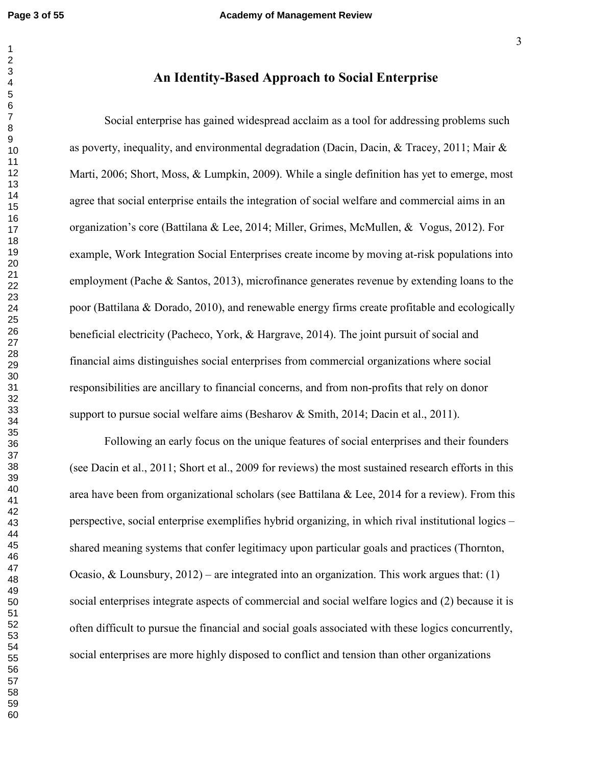# **An Identity-Based Approach to Social Enterprise**

Social enterprise has gained widespread acclaim as a tool for addressing problems such as poverty, inequality, and environmental degradation (Dacin, Dacin, & Tracey, 2011; Mair & Marti, 2006; Short, Moss, & Lumpkin, 2009). While a single definition has yet to emerge, most agree that social enterprise entails the integration of social welfare and commercial aims in an organization's core (Battilana & Lee, 2014; Miller, Grimes, McMullen, & Vogus, 2012). For example, Work Integration Social Enterprises create income by moving at-risk populations into employment (Pache & Santos, 2013), microfinance generates revenue by extending loans to the poor (Battilana & Dorado, 2010), and renewable energy firms create profitable and ecologically beneficial electricity (Pacheco, York, & Hargrave, 2014). The joint pursuit of social and financial aims distinguishes social enterprises from commercial organizations where social responsibilities are ancillary to financial concerns, and from non-profits that rely on donor support to pursue social welfare aims (Besharov & Smith, 2014; Dacin et al., 2011).

 Following an early focus on the unique features of social enterprises and their founders (see Dacin et al., 2011; Short et al., 2009 for reviews) the most sustained research efforts in this area have been from organizational scholars (see Battilana & Lee, 2014 for a review). From this perspective, social enterprise exemplifies hybrid organizing, in which rival institutional logics – shared meaning systems that confer legitimacy upon particular goals and practices (Thornton, Ocasio,  $&$  Lounsbury, 2012) – are integrated into an organization. This work argues that: (1) social enterprises integrate aspects of commercial and social welfare logics and (2) because it is often difficult to pursue the financial and social goals associated with these logics concurrently, social enterprises are more highly disposed to conflict and tension than other organizations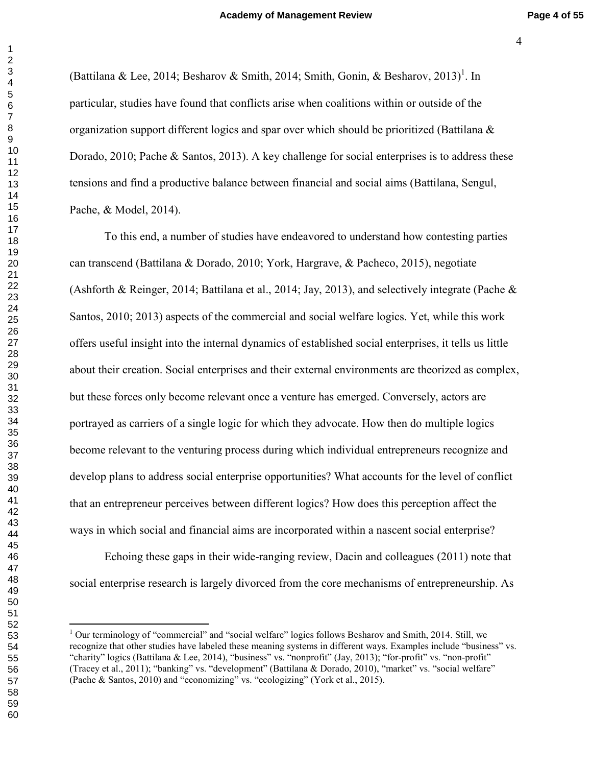(Battilana & Lee, 2014; Besharov & Smith, 2014; Smith, Gonin, & Besharov, 2013)<sup>1</sup>. In particular, studies have found that conflicts arise when coalitions within or outside of the organization support different logics and spar over which should be prioritized (Battilana  $\&$ Dorado, 2010; Pache & Santos, 2013). A key challenge for social enterprises is to address these tensions and find a productive balance between financial and social aims (Battilana, Sengul, Pache, & Model, 2014).

 To this end, a number of studies have endeavored to understand how contesting parties can transcend (Battilana & Dorado, 2010; York, Hargrave, & Pacheco, 2015), negotiate (Ashforth & Reinger, 2014; Battilana et al., 2014; Jay, 2013), and selectively integrate (Pache & Santos, 2010; 2013) aspects of the commercial and social welfare logics. Yet, while this work offers useful insight into the internal dynamics of established social enterprises, it tells us little about their creation. Social enterprises and their external environments are theorized as complex, but these forces only become relevant once a venture has emerged. Conversely, actors are portrayed as carriers of a single logic for which they advocate. How then do multiple logics become relevant to the venturing process during which individual entrepreneurs recognize and develop plans to address social enterprise opportunities? What accounts for the level of conflict that an entrepreneur perceives between different logics? How does this perception affect the ways in which social and financial aims are incorporated within a nascent social enterprise?

 Echoing these gaps in their wide-ranging review, Dacin and colleagues (2011) note that social enterprise research is largely divorced from the core mechanisms of entrepreneurship. As

-

<sup>&</sup>lt;sup>1</sup> Our terminology of "commercial" and "social welfare" logics follows Besharov and Smith, 2014. Still, we recognize that other studies have labeled these meaning systems in different ways. Examples include "business" vs. "charity" logics (Battilana & Lee, 2014), "business" vs. "nonprofit" (Jay, 2013); "for-profit" vs. "non-profit" (Tracey et al., 2011); "banking" vs. "development" (Battilana & Dorado, 2010), "market" vs. "social welfare" (Pache & Santos, 2010) and "economizing" vs. "ecologizing" (York et al., 2015).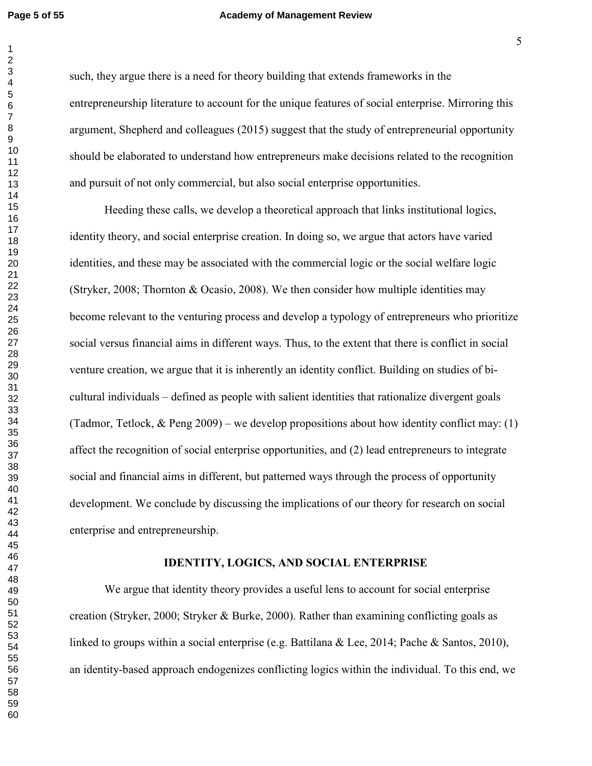#### **Page 5 of 55 Academy of Management Review**

such, they argue there is a need for theory building that extends frameworks in the entrepreneurship literature to account for the unique features of social enterprise. Mirroring this argument, Shepherd and colleagues (2015) suggest that the study of entrepreneurial opportunity should be elaborated to understand how entrepreneurs make decisions related to the recognition and pursuit of not only commercial, but also social enterprise opportunities.

Heeding these calls, we develop a theoretical approach that links institutional logics, identity theory, and social enterprise creation. In doing so, we argue that actors have varied identities, and these may be associated with the commercial logic or the social welfare logic (Stryker, 2008; Thornton & Ocasio, 2008). We then consider how multiple identities may become relevant to the venturing process and develop a typology of entrepreneurs who prioritize social versus financial aims in different ways. Thus, to the extent that there is conflict in social venture creation, we argue that it is inherently an identity conflict. Building on studies of bicultural individuals – defined as people with salient identities that rationalize divergent goals (Tadmor, Tetlock, & Peng 2009) – we develop propositions about how identity conflict may: (1) affect the recognition of social enterprise opportunities, and (2) lead entrepreneurs to integrate social and financial aims in different, but patterned ways through the process of opportunity development. We conclude by discussing the implications of our theory for research on social enterprise and entrepreneurship.

# **IDENTITY, LOGICS, AND SOCIAL ENTERPRISE**

 We argue that identity theory provides a useful lens to account for social enterprise creation (Stryker, 2000; Stryker & Burke, 2000). Rather than examining conflicting goals as linked to groups within a social enterprise (e.g. Battilana & Lee, 2014; Pache & Santos, 2010), an identity-based approach endogenizes conflicting logics within the individual. To this end, we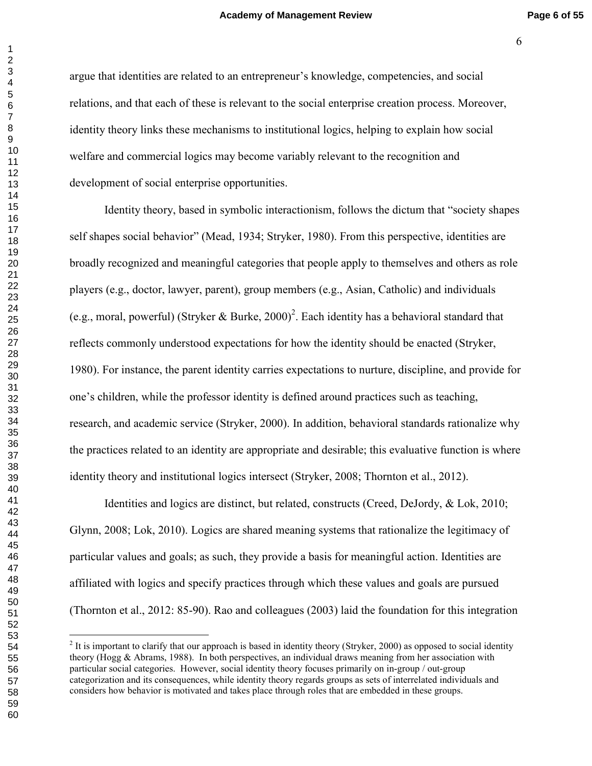argue that identities are related to an entrepreneur's knowledge, competencies, and social relations, and that each of these is relevant to the social enterprise creation process. Moreover, identity theory links these mechanisms to institutional logics, helping to explain how social welfare and commercial logics may become variably relevant to the recognition and development of social enterprise opportunities.

 Identity theory, based in symbolic interactionism, follows the dictum that "society shapes self shapes social behavior" (Mead, 1934; Stryker, 1980). From this perspective, identities are broadly recognized and meaningful categories that people apply to themselves and others as role players (e.g., doctor, lawyer, parent), group members (e.g., Asian, Catholic) and individuals (e.g., moral, powerful) (Stryker & Burke, 2000)<sup>2</sup>. Each identity has a behavioral standard that reflects commonly understood expectations for how the identity should be enacted (Stryker, 1980). For instance, the parent identity carries expectations to nurture, discipline, and provide for one's children, while the professor identity is defined around practices such as teaching, research, and academic service (Stryker, 2000). In addition, behavioral standards rationalize why the practices related to an identity are appropriate and desirable; this evaluative function is where identity theory and institutional logics intersect (Stryker, 2008; Thornton et al., 2012).

Identities and logics are distinct, but related, constructs (Creed, DeJordy, & Lok, 2010; Glynn, 2008; Lok, 2010). Logics are shared meaning systems that rationalize the legitimacy of particular values and goals; as such, they provide a basis for meaningful action. Identities are affiliated with logics and specify practices through which these values and goals are pursued (Thornton et al., 2012: 85-90). Rao and colleagues (2003) laid the foundation for this integration

<sup>&</sup>lt;sup>2</sup> It is important to clarify that our approach is based in identity theory (Stryker, 2000) as opposed to social identity theory (Hogg & Abrams, 1988). In both perspectives, an individual draws meaning from her association with particular social categories. However, social identity theory focuses primarily on in-group / out-group categorization and its consequences, while identity theory regards groups as sets of interrelated individuals and considers how behavior is motivated and takes place through roles that are embedded in these groups.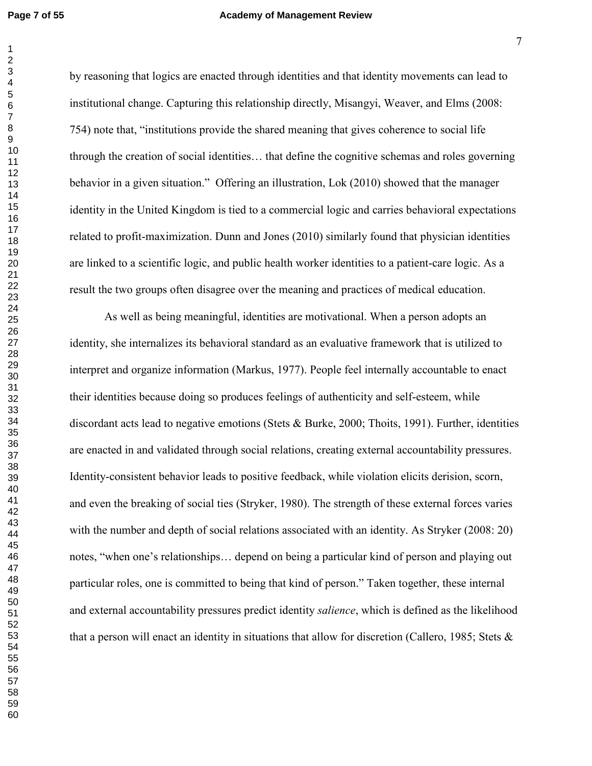#### **Page 7 of 55 Academy of Management Review**

by reasoning that logics are enacted through identities and that identity movements can lead to institutional change. Capturing this relationship directly, Misangyi, Weaver, and Elms (2008: 754) note that, "institutions provide the shared meaning that gives coherence to social life through the creation of social identities… that define the cognitive schemas and roles governing behavior in a given situation." Offering an illustration, Lok (2010) showed that the manager identity in the United Kingdom is tied to a commercial logic and carries behavioral expectations related to profit-maximization. Dunn and Jones (2010) similarly found that physician identities are linked to a scientific logic, and public health worker identities to a patient-care logic. As a result the two groups often disagree over the meaning and practices of medical education.

As well as being meaningful, identities are motivational. When a person adopts an identity, she internalizes its behavioral standard as an evaluative framework that is utilized to interpret and organize information (Markus, 1977). People feel internally accountable to enact their identities because doing so produces feelings of authenticity and self-esteem, while discordant acts lead to negative emotions (Stets & Burke, 2000; Thoits, 1991). Further, identities are enacted in and validated through social relations, creating external accountability pressures. Identity-consistent behavior leads to positive feedback, while violation elicits derision, scorn, and even the breaking of social ties (Stryker, 1980). The strength of these external forces varies with the number and depth of social relations associated with an identity. As Stryker (2008: 20) notes, "when one's relationships… depend on being a particular kind of person and playing out particular roles, one is committed to being that kind of person." Taken together, these internal and external accountability pressures predict identity *salience*, which is defined as the likelihood that a person will enact an identity in situations that allow for discretion (Callero, 1985; Stets  $\&$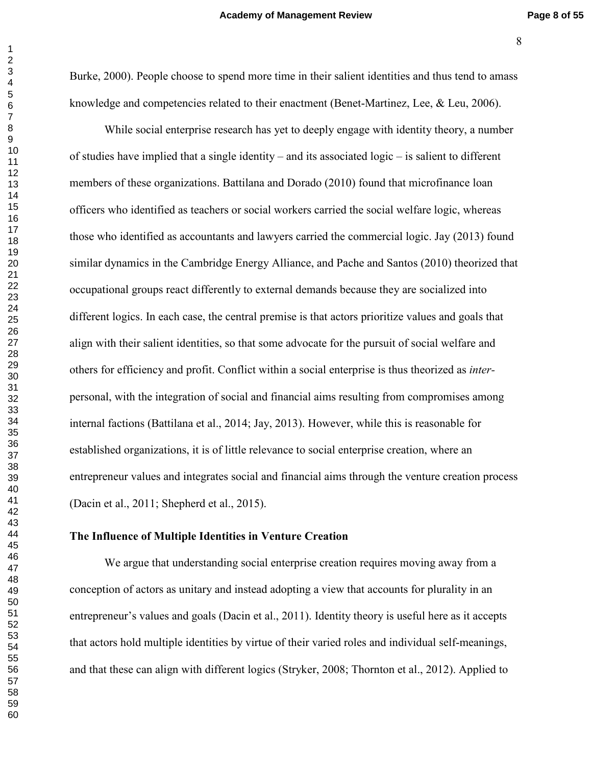Burke, 2000). People choose to spend more time in their salient identities and thus tend to amass knowledge and competencies related to their enactment (Benet-Martinez, Lee, & Leu, 2006).

While social enterprise research has yet to deeply engage with identity theory, a number of studies have implied that a single identity – and its associated logic – is salient to different members of these organizations. Battilana and Dorado (2010) found that microfinance loan officers who identified as teachers or social workers carried the social welfare logic, whereas those who identified as accountants and lawyers carried the commercial logic. Jay (2013) found similar dynamics in the Cambridge Energy Alliance, and Pache and Santos (2010) theorized that occupational groups react differently to external demands because they are socialized into different logics. In each case, the central premise is that actors prioritize values and goals that align with their salient identities, so that some advocate for the pursuit of social welfare and others for efficiency and profit. Conflict within a social enterprise is thus theorized as *inter*personal, with the integration of social and financial aims resulting from compromises among internal factions (Battilana et al., 2014; Jay, 2013). However, while this is reasonable for established organizations, it is of little relevance to social enterprise creation, where an entrepreneur values and integrates social and financial aims through the venture creation process (Dacin et al., 2011; Shepherd et al., 2015).

## **The Influence of Multiple Identities in Venture Creation**

We argue that understanding social enterprise creation requires moving away from a conception of actors as unitary and instead adopting a view that accounts for plurality in an entrepreneur's values and goals (Dacin et al., 2011). Identity theory is useful here as it accepts that actors hold multiple identities by virtue of their varied roles and individual self-meanings, and that these can align with different logics (Stryker, 2008; Thornton et al., 2012). Applied to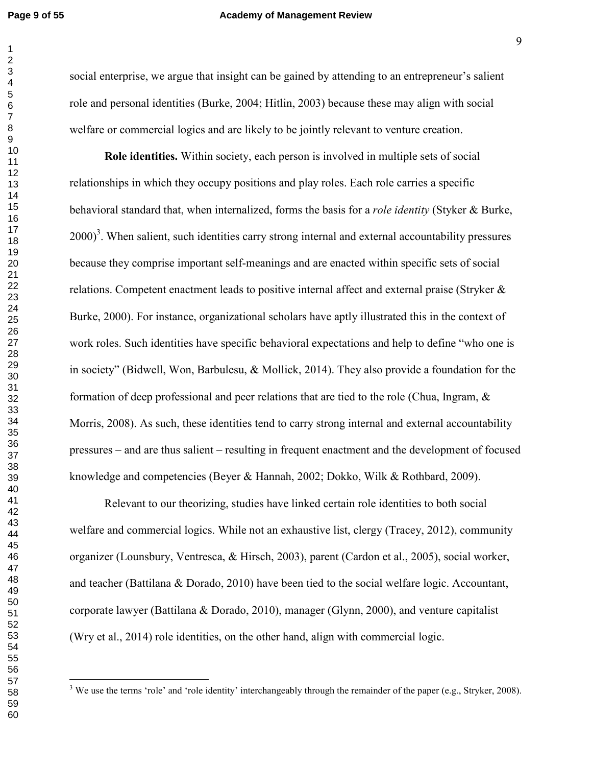<u>.</u>

#### **Page 9 of 55 Academy of Management Review**

social enterprise, we argue that insight can be gained by attending to an entrepreneur's salient role and personal identities (Burke, 2004; Hitlin, 2003) because these may align with social welfare or commercial logics and are likely to be jointly relevant to venture creation.

**Role identities.** Within society, each person is involved in multiple sets of social relationships in which they occupy positions and play roles. Each role carries a specific behavioral standard that, when internalized, forms the basis for a *role identity* (Styker & Burke, <sup>3</sup>. When salient, such identities carry strong internal and external accountability pressures because they comprise important self-meanings and are enacted within specific sets of social relations. Competent enactment leads to positive internal affect and external praise (Stryker & Burke, 2000). For instance, organizational scholars have aptly illustrated this in the context of work roles. Such identities have specific behavioral expectations and help to define "who one is in society" (Bidwell, Won, Barbulesu, & Mollick, 2014). They also provide a foundation for the formation of deep professional and peer relations that are tied to the role (Chua, Ingram, & Morris, 2008). As such, these identities tend to carry strong internal and external accountability pressures – and are thus salient – resulting in frequent enactment and the development of focused knowledge and competencies (Beyer & Hannah, 2002; Dokko, Wilk & Rothbard, 2009).

Relevant to our theorizing, studies have linked certain role identities to both social welfare and commercial logics. While not an exhaustive list, clergy (Tracey, 2012), community organizer (Lounsbury, Ventresca, & Hirsch, 2003), parent (Cardon et al., 2005), social worker, and teacher (Battilana & Dorado, 2010) have been tied to the social welfare logic. Accountant, corporate lawyer (Battilana & Dorado, 2010), manager (Glynn, 2000), and venture capitalist (Wry et al., 2014) role identities, on the other hand, align with commercial logic.

<sup>&</sup>lt;sup>3</sup> We use the terms 'role' and 'role identity' interchangeably through the remainder of the paper (e.g., Stryker, 2008).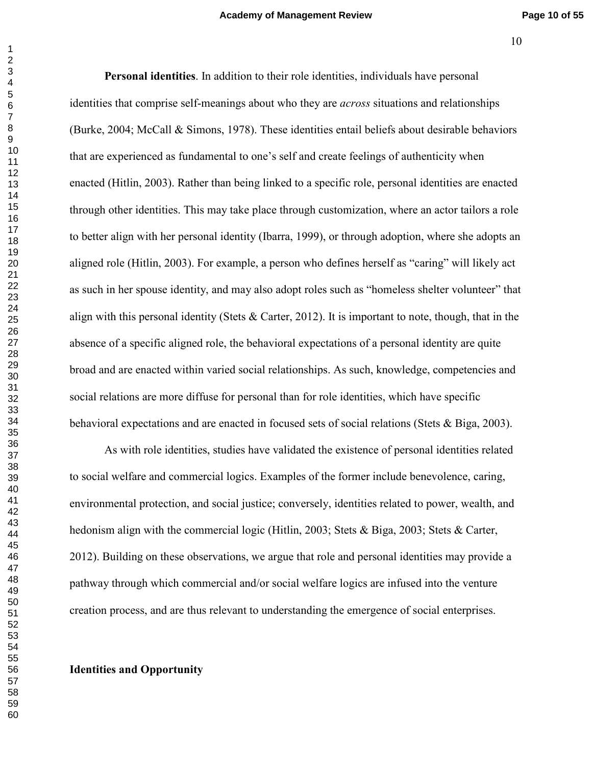**Personal identities**. In addition to their role identities, individuals have personal identities that comprise self-meanings about who they are *across* situations and relationships (Burke, 2004; McCall & Simons, 1978). These identities entail beliefs about desirable behaviors that are experienced as fundamental to one's self and create feelings of authenticity when enacted (Hitlin, 2003). Rather than being linked to a specific role, personal identities are enacted through other identities. This may take place through customization, where an actor tailors a role to better align with her personal identity (Ibarra, 1999), or through adoption, where she adopts an aligned role (Hitlin, 2003). For example, a person who defines herself as "caring" will likely act as such in her spouse identity, and may also adopt roles such as "homeless shelter volunteer" that align with this personal identity (Stets & Carter, 2012). It is important to note, though, that in the absence of a specific aligned role, the behavioral expectations of a personal identity are quite broad and are enacted within varied social relationships. As such, knowledge, competencies and social relations are more diffuse for personal than for role identities, which have specific behavioral expectations and are enacted in focused sets of social relations (Stets & Biga, 2003).

As with role identities, studies have validated the existence of personal identities related to social welfare and commercial logics. Examples of the former include benevolence, caring, environmental protection, and social justice; conversely, identities related to power, wealth, and hedonism align with the commercial logic (Hitlin, 2003; Stets & Biga, 2003; Stets & Carter, 2012). Building on these observations, we argue that role and personal identities may provide a pathway through which commercial and/or social welfare logics are infused into the venture creation process, and are thus relevant to understanding the emergence of social enterprises.

## **Identities and Opportunity**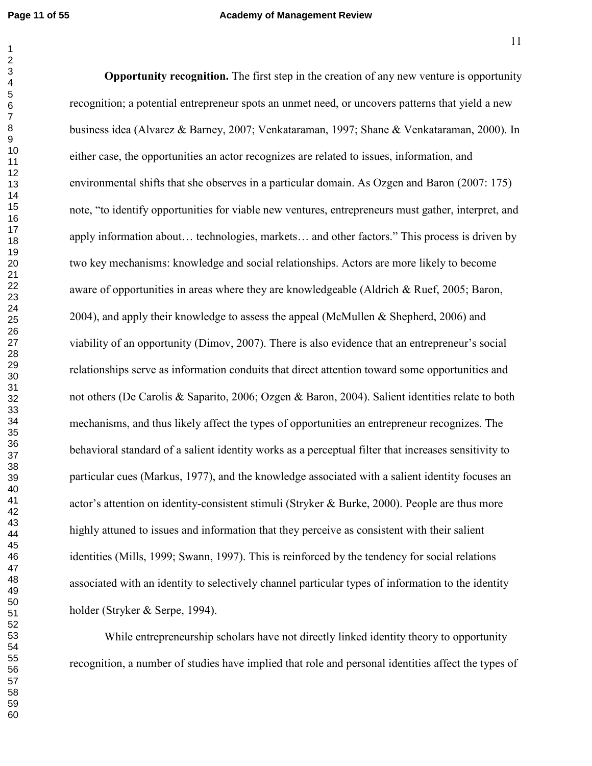**Opportunity recognition.** The first step in the creation of any new venture is opportunity recognition; a potential entrepreneur spots an unmet need, or uncovers patterns that yield a new business idea (Alvarez & Barney, 2007; Venkataraman, 1997; Shane & Venkataraman, 2000). In either case, the opportunities an actor recognizes are related to issues, information, and environmental shifts that she observes in a particular domain. As Ozgen and Baron (2007: 175) note, "to identify opportunities for viable new ventures, entrepreneurs must gather, interpret, and apply information about… technologies, markets… and other factors." This process is driven by two key mechanisms: knowledge and social relationships. Actors are more likely to become aware of opportunities in areas where they are knowledgeable (Aldrich & Ruef, 2005; Baron, 2004), and apply their knowledge to assess the appeal (McMullen & Shepherd, 2006) and viability of an opportunity (Dimov, 2007). There is also evidence that an entrepreneur's social relationships serve as information conduits that direct attention toward some opportunities and not others (De Carolis & Saparito, 2006; Ozgen & Baron, 2004). Salient identities relate to both mechanisms, and thus likely affect the types of opportunities an entrepreneur recognizes. The behavioral standard of a salient identity works as a perceptual filter that increases sensitivity to particular cues (Markus, 1977), and the knowledge associated with a salient identity focuses an actor's attention on identity-consistent stimuli (Stryker & Burke, 2000). People are thus more highly attuned to issues and information that they perceive as consistent with their salient identities (Mills, 1999; Swann, 1997). This is reinforced by the tendency for social relations associated with an identity to selectively channel particular types of information to the identity holder (Stryker & Serpe, 1994).

While entrepreneurship scholars have not directly linked identity theory to opportunity recognition, a number of studies have implied that role and personal identities affect the types of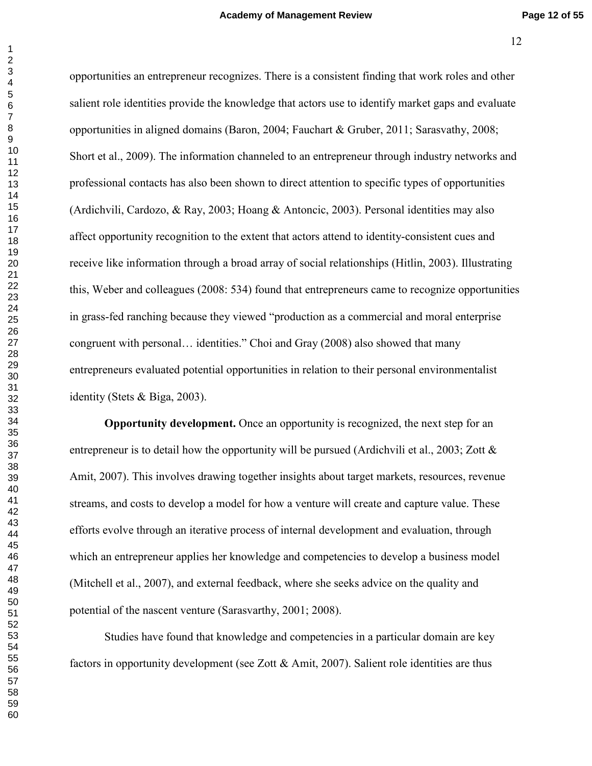opportunities an entrepreneur recognizes. There is a consistent finding that work roles and other salient role identities provide the knowledge that actors use to identify market gaps and evaluate opportunities in aligned domains (Baron, 2004; Fauchart & Gruber, 2011; Sarasvathy, 2008; Short et al., 2009). The information channeled to an entrepreneur through industry networks and professional contacts has also been shown to direct attention to specific types of opportunities (Ardichvili, Cardozo, & Ray, 2003; Hoang & Antoncic, 2003). Personal identities may also affect opportunity recognition to the extent that actors attend to identity-consistent cues and receive like information through a broad array of social relationships (Hitlin, 2003). Illustrating this, Weber and colleagues (2008: 534) found that entrepreneurs came to recognize opportunities in grass-fed ranching because they viewed "production as a commercial and moral enterprise congruent with personal… identities." Choi and Gray (2008) also showed that many entrepreneurs evaluated potential opportunities in relation to their personal environmentalist identity (Stets & Biga, 2003).

**Opportunity development.** Once an opportunity is recognized, the next step for an entrepreneur is to detail how the opportunity will be pursued (Ardichvili et al., 2003; Zott  $\&$ Amit, 2007). This involves drawing together insights about target markets, resources, revenue streams, and costs to develop a model for how a venture will create and capture value. These efforts evolve through an iterative process of internal development and evaluation, through which an entrepreneur applies her knowledge and competencies to develop a business model (Mitchell et al., 2007), and external feedback, where she seeks advice on the quality and potential of the nascent venture (Sarasvarthy, 2001; 2008).

Studies have found that knowledge and competencies in a particular domain are key factors in opportunity development (see Zott & Amit, 2007). Salient role identities are thus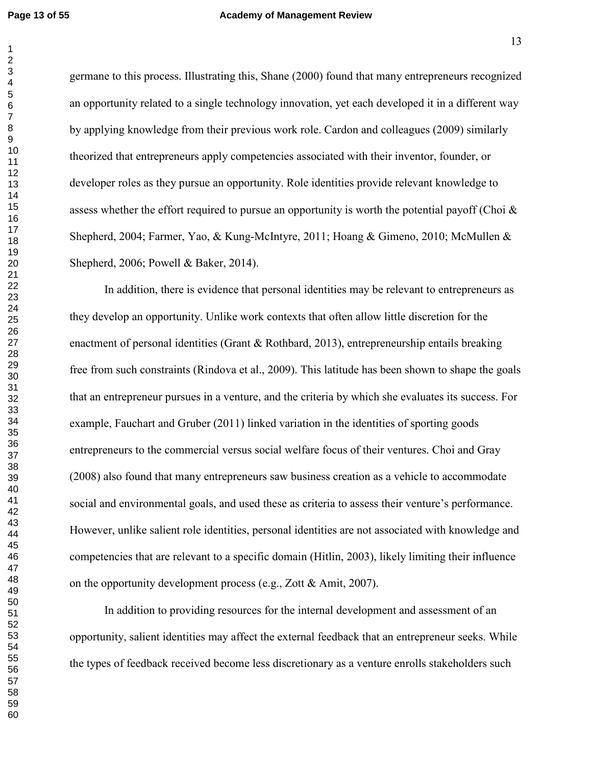germane to this process. Illustrating this, Shane (2000) found that many entrepreneurs recognized an opportunity related to a single technology innovation, yet each developed it in a different way by applying knowledge from their previous work role. Cardon and colleagues (2009) similarly theorized that entrepreneurs apply competencies associated with their inventor, founder, or developer roles as they pursue an opportunity. Role identities provide relevant knowledge to assess whether the effort required to pursue an opportunity is worth the potential payoff (Choi & Shepherd, 2004; Farmer, Yao, & Kung-McIntyre, 2011; Hoang & Gimeno, 2010; McMullen & Shepherd, 2006; Powell & Baker, 2014).

In addition, there is evidence that personal identities may be relevant to entrepreneurs as they develop an opportunity. Unlike work contexts that often allow little discretion for the enactment of personal identities (Grant & Rothbard, 2013), entrepreneurship entails breaking free from such constraints (Rindova et al., 2009). This latitude has been shown to shape the goals that an entrepreneur pursues in a venture, and the criteria by which she evaluates its success. For example, Fauchart and Gruber (2011) linked variation in the identities of sporting goods entrepreneurs to the commercial versus social welfare focus of their ventures. Choi and Gray (2008) also found that many entrepreneurs saw business creation as a vehicle to accommodate social and environmental goals, and used these as criteria to assess their venture's performance. However, unlike salient role identities, personal identities are not associated with knowledge and competencies that are relevant to a specific domain (Hitlin, 2003), likely limiting their influence on the opportunity development process (e.g., Zott & Amit, 2007).

In addition to providing resources for the internal development and assessment of an opportunity, salient identities may affect the external feedback that an entrepreneur seeks. While the types of feedback received become less discretionary as a venture enrolls stakeholders such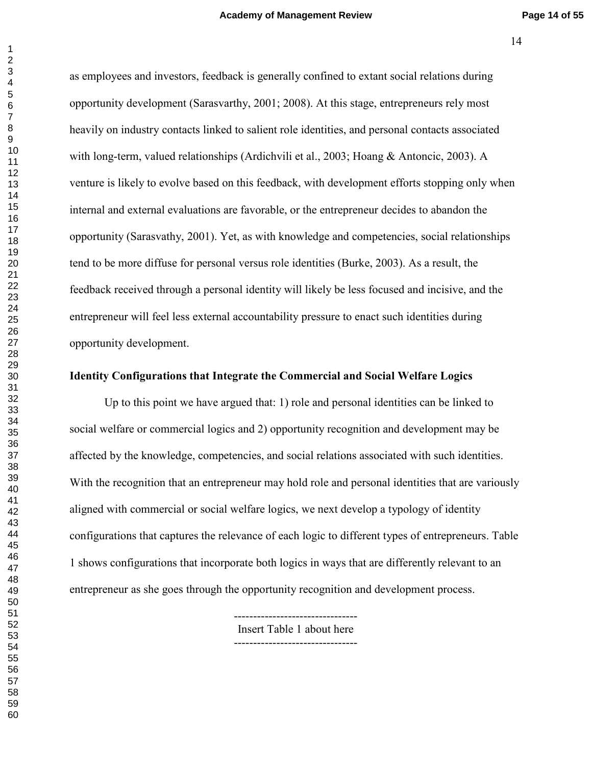as employees and investors, feedback is generally confined to extant social relations during opportunity development (Sarasvarthy, 2001; 2008). At this stage, entrepreneurs rely most heavily on industry contacts linked to salient role identities, and personal contacts associated with long-term, valued relationships (Ardichvili et al., 2003; Hoang & Antoncic, 2003). A venture is likely to evolve based on this feedback, with development efforts stopping only when internal and external evaluations are favorable, or the entrepreneur decides to abandon the opportunity (Sarasvathy, 2001). Yet, as with knowledge and competencies, social relationships tend to be more diffuse for personal versus role identities (Burke, 2003). As a result, the feedback received through a personal identity will likely be less focused and incisive, and the entrepreneur will feel less external accountability pressure to enact such identities during opportunity development.

# **Identity Configurations that Integrate the Commercial and Social Welfare Logics**

Up to this point we have argued that: 1) role and personal identities can be linked to social welfare or commercial logics and 2) opportunity recognition and development may be affected by the knowledge, competencies, and social relations associated with such identities. With the recognition that an entrepreneur may hold role and personal identities that are variously aligned with commercial or social welfare logics, we next develop a typology of identity configurations that captures the relevance of each logic to different types of entrepreneurs. Table 1 shows configurations that incorporate both logics in ways that are differently relevant to an entrepreneur as she goes through the opportunity recognition and development process.

> -------------------------------- Insert Table 1 about here --------------------------------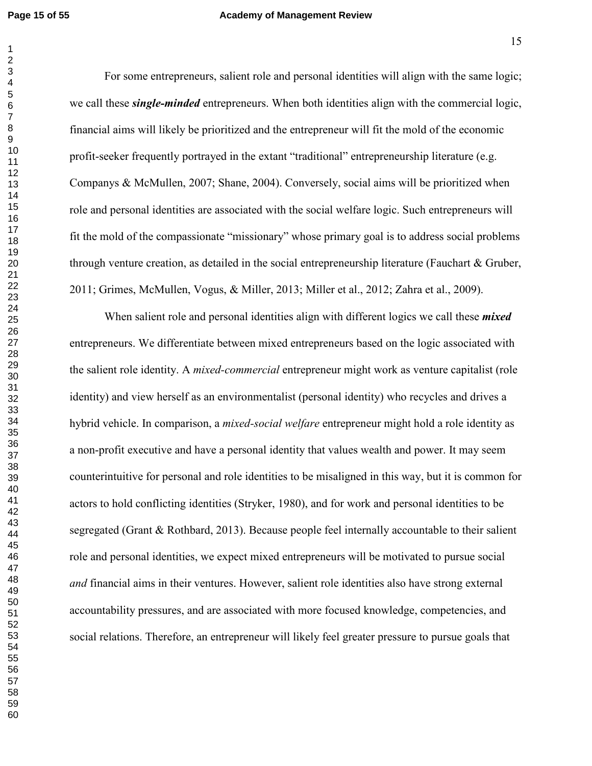For some entrepreneurs, salient role and personal identities will align with the same logic; we call these *single-minded* entrepreneurs. When both identities align with the commercial logic, financial aims will likely be prioritized and the entrepreneur will fit the mold of the economic profit-seeker frequently portrayed in the extant "traditional" entrepreneurship literature (e.g. Companys & McMullen, 2007; Shane, 2004). Conversely, social aims will be prioritized when role and personal identities are associated with the social welfare logic. Such entrepreneurs will fit the mold of the compassionate "missionary" whose primary goal is to address social problems through venture creation, as detailed in the social entrepreneurship literature (Fauchart & Gruber, 2011; Grimes, McMullen, Vogus, & Miller, 2013; Miller et al., 2012; Zahra et al., 2009).

When salient role and personal identities align with different logics we call these *mixed* entrepreneurs. We differentiate between mixed entrepreneurs based on the logic associated with the salient role identity. A *mixed-commercial* entrepreneur might work as venture capitalist (role identity) and view herself as an environmentalist (personal identity) who recycles and drives a hybrid vehicle. In comparison, a *mixed-social welfare* entrepreneur might hold a role identity as a non-profit executive and have a personal identity that values wealth and power. It may seem counterintuitive for personal and role identities to be misaligned in this way, but it is common for actors to hold conflicting identities (Stryker, 1980), and for work and personal identities to be segregated (Grant & Rothbard, 2013). Because people feel internally accountable to their salient role and personal identities, we expect mixed entrepreneurs will be motivated to pursue social *and* financial aims in their ventures. However, salient role identities also have strong external accountability pressures, and are associated with more focused knowledge, competencies, and social relations. Therefore, an entrepreneur will likely feel greater pressure to pursue goals that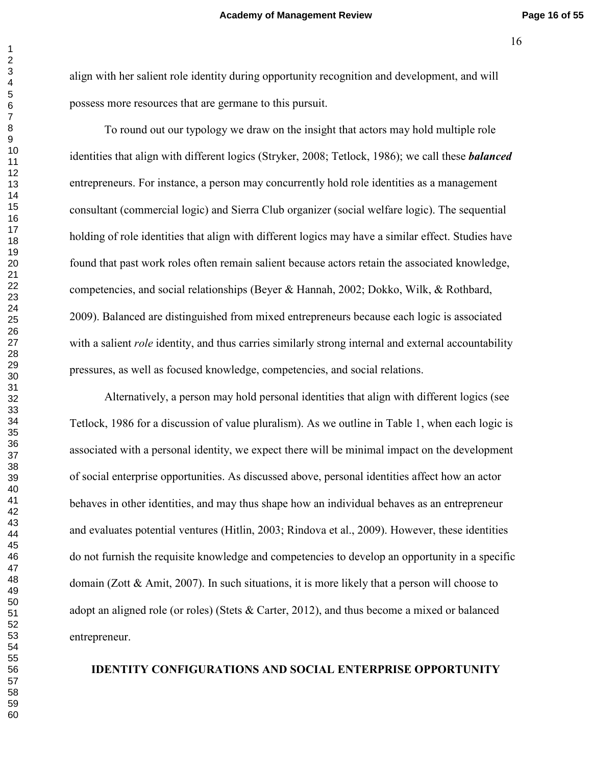align with her salient role identity during opportunity recognition and development, and will possess more resources that are germane to this pursuit.

 To round out our typology we draw on the insight that actors may hold multiple role identities that align with different logics (Stryker, 2008; Tetlock, 1986); we call these *balanced*  entrepreneurs. For instance, a person may concurrently hold role identities as a management consultant (commercial logic) and Sierra Club organizer (social welfare logic). The sequential holding of role identities that align with different logics may have a similar effect. Studies have found that past work roles often remain salient because actors retain the associated knowledge, competencies, and social relationships (Beyer & Hannah, 2002; Dokko, Wilk, & Rothbard, 2009). Balanced are distinguished from mixed entrepreneurs because each logic is associated with a salient *role* identity, and thus carries similarly strong internal and external accountability pressures, as well as focused knowledge, competencies, and social relations.

 Alternatively, a person may hold personal identities that align with different logics (see Tetlock, 1986 for a discussion of value pluralism). As we outline in Table 1, when each logic is associated with a personal identity, we expect there will be minimal impact on the development of social enterprise opportunities. As discussed above, personal identities affect how an actor behaves in other identities, and may thus shape how an individual behaves as an entrepreneur and evaluates potential ventures (Hitlin, 2003; Rindova et al., 2009). However, these identities do not furnish the requisite knowledge and competencies to develop an opportunity in a specific domain (Zott & Amit, 2007). In such situations, it is more likely that a person will choose to adopt an aligned role (or roles) (Stets & Carter, 2012), and thus become a mixed or balanced entrepreneur.

**IDENTITY CONFIGURATIONS AND SOCIAL ENTERPRISE OPPORTUNITY**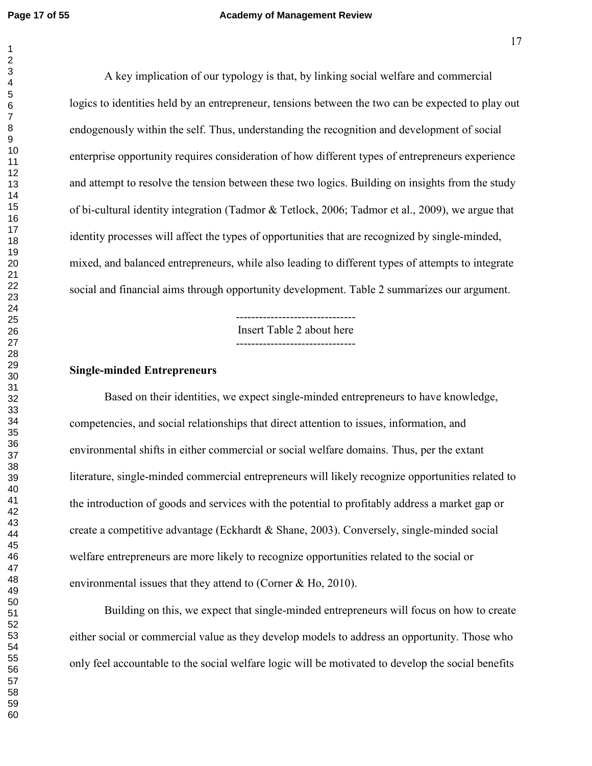A key implication of our typology is that, by linking social welfare and commercial logics to identities held by an entrepreneur, tensions between the two can be expected to play out endogenously within the self. Thus, understanding the recognition and development of social enterprise opportunity requires consideration of how different types of entrepreneurs experience and attempt to resolve the tension between these two logics. Building on insights from the study of bi-cultural identity integration (Tadmor & Tetlock, 2006; Tadmor et al., 2009), we argue that identity processes will affect the types of opportunities that are recognized by single-minded, mixed, and balanced entrepreneurs, while also leading to different types of attempts to integrate

social and financial aims through opportunity development. Table 2 summarizes our argument.

------------------------------- Insert Table 2 about here -------------------------------

# **Single-minded Entrepreneurs**

Based on their identities, we expect single-minded entrepreneurs to have knowledge, competencies, and social relationships that direct attention to issues, information, and environmental shifts in either commercial or social welfare domains. Thus, per the extant literature, single-minded commercial entrepreneurs will likely recognize opportunities related to the introduction of goods and services with the potential to profitably address a market gap or create a competitive advantage (Eckhardt & Shane, 2003). Conversely, single-minded social welfare entrepreneurs are more likely to recognize opportunities related to the social or environmental issues that they attend to (Corner & Ho, 2010).

 Building on this, we expect that single-minded entrepreneurs will focus on how to create either social or commercial value as they develop models to address an opportunity. Those who only feel accountable to the social welfare logic will be motivated to develop the social benefits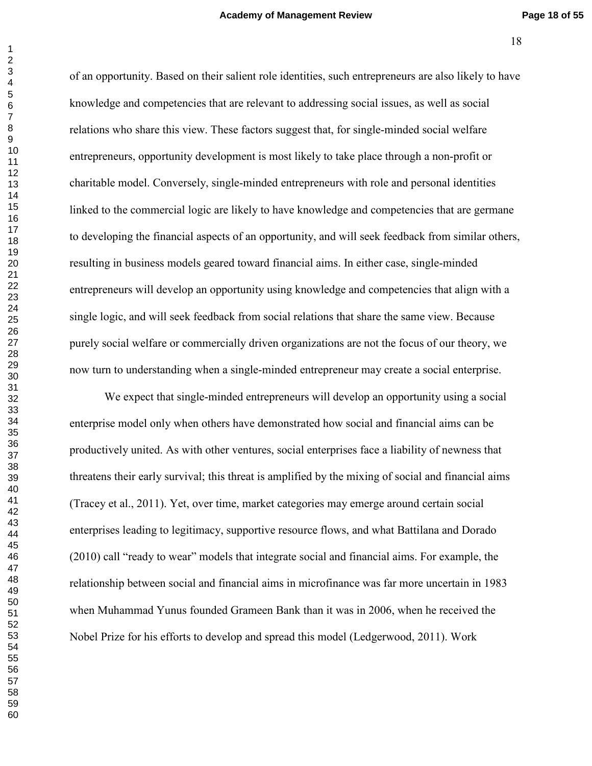of an opportunity. Based on their salient role identities, such entrepreneurs are also likely to have knowledge and competencies that are relevant to addressing social issues, as well as social relations who share this view. These factors suggest that, for single-minded social welfare entrepreneurs, opportunity development is most likely to take place through a non-profit or charitable model. Conversely, single-minded entrepreneurs with role and personal identities linked to the commercial logic are likely to have knowledge and competencies that are germane to developing the financial aspects of an opportunity, and will seek feedback from similar others, resulting in business models geared toward financial aims. In either case, single-minded entrepreneurs will develop an opportunity using knowledge and competencies that align with a single logic, and will seek feedback from social relations that share the same view. Because purely social welfare or commercially driven organizations are not the focus of our theory, we now turn to understanding when a single-minded entrepreneur may create a social enterprise.

We expect that single-minded entrepreneurs will develop an opportunity using a social enterprise model only when others have demonstrated how social and financial aims can be productively united. As with other ventures, social enterprises face a liability of newness that threatens their early survival; this threat is amplified by the mixing of social and financial aims (Tracey et al., 2011). Yet, over time, market categories may emerge around certain social enterprises leading to legitimacy, supportive resource flows, and what Battilana and Dorado (2010) call "ready to wear" models that integrate social and financial aims. For example, the relationship between social and financial aims in microfinance was far more uncertain in 1983 when Muhammad Yunus founded Grameen Bank than it was in 2006, when he received the Nobel Prize for his efforts to develop and spread this model (Ledgerwood, 2011). Work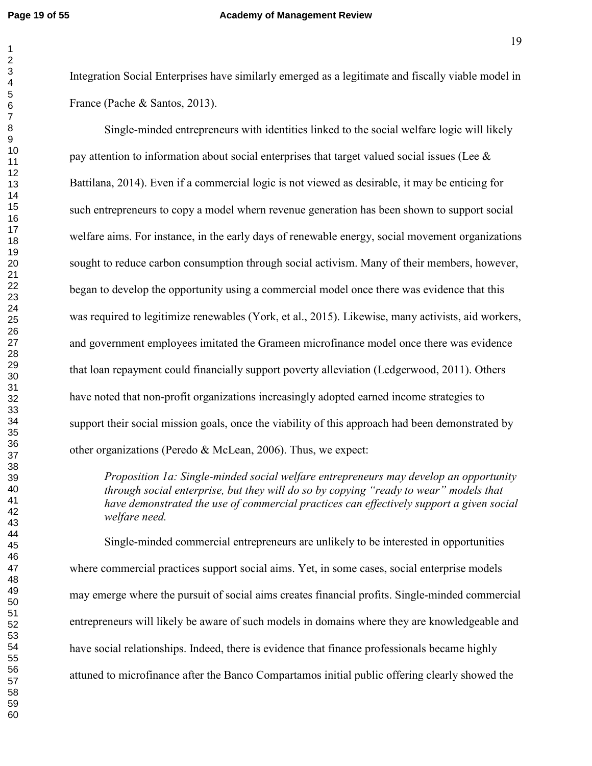Integration Social Enterprises have similarly emerged as a legitimate and fiscally viable model in France (Pache & Santos, 2013).

Single-minded entrepreneurs with identities linked to the social welfare logic will likely pay attention to information about social enterprises that target valued social issues (Lee & Battilana, 2014). Even if a commercial logic is not viewed as desirable, it may be enticing for such entrepreneurs to copy a model whern revenue generation has been shown to support social welfare aims. For instance, in the early days of renewable energy, social movement organizations sought to reduce carbon consumption through social activism. Many of their members, however, began to develop the opportunity using a commercial model once there was evidence that this was required to legitimize renewables (York, et al., 2015). Likewise, many activists, aid workers, and government employees imitated the Grameen microfinance model once there was evidence that loan repayment could financially support poverty alleviation (Ledgerwood, 2011). Others have noted that non-profit organizations increasingly adopted earned income strategies to support their social mission goals, once the viability of this approach had been demonstrated by other organizations (Peredo & McLean, 2006). Thus, we expect:

*Proposition 1a: Single-minded social welfare entrepreneurs may develop an opportunity through social enterprise, but they will do so by copying "ready to wear" models that have demonstrated the use of commercial practices can effectively support a given social welfare need.* 

Single-minded commercial entrepreneurs are unlikely to be interested in opportunities where commercial practices support social aims. Yet, in some cases, social enterprise models may emerge where the pursuit of social aims creates financial profits. Single-minded commercial entrepreneurs will likely be aware of such models in domains where they are knowledgeable and have social relationships. Indeed, there is evidence that finance professionals became highly attuned to microfinance after the Banco Compartamos initial public offering clearly showed the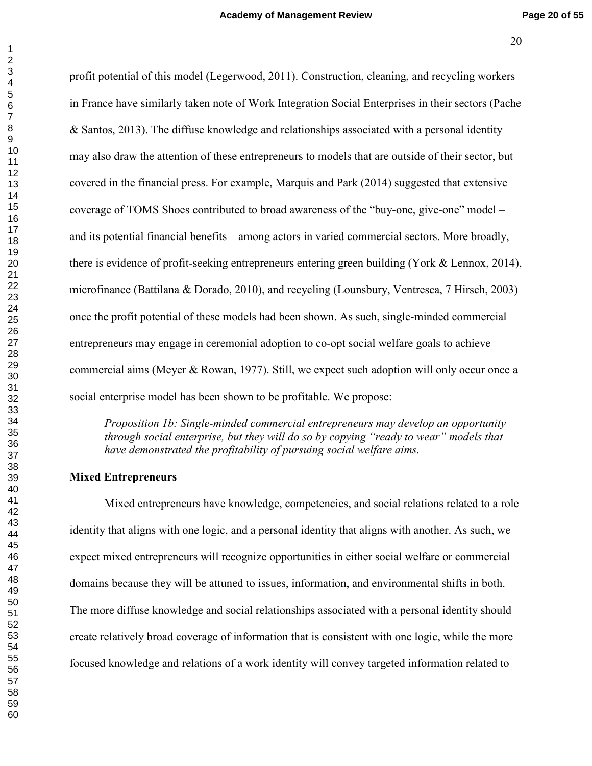profit potential of this model (Legerwood, 2011). Construction, cleaning, and recycling workers in France have similarly taken note of Work Integration Social Enterprises in their sectors (Pache & Santos, 2013). The diffuse knowledge and relationships associated with a personal identity may also draw the attention of these entrepreneurs to models that are outside of their sector, but covered in the financial press. For example, Marquis and Park (2014) suggested that extensive coverage of TOMS Shoes contributed to broad awareness of the "buy-one, give-one" model – and its potential financial benefits – among actors in varied commercial sectors. More broadly, there is evidence of profit-seeking entrepreneurs entering green building (York & Lennox, 2014), microfinance (Battilana & Dorado, 2010), and recycling (Lounsbury, Ventresca, 7 Hirsch, 2003) once the profit potential of these models had been shown. As such, single-minded commercial entrepreneurs may engage in ceremonial adoption to co-opt social welfare goals to achieve commercial aims (Meyer & Rowan, 1977). Still, we expect such adoption will only occur once a social enterprise model has been shown to be profitable. We propose:

*Proposition 1b: Single-minded commercial entrepreneurs may develop an opportunity through social enterprise, but they will do so by copying "ready to wear" models that have demonstrated the profitability of pursuing social welfare aims.* 

## **Mixed Entrepreneurs**

Mixed entrepreneurs have knowledge, competencies, and social relations related to a role identity that aligns with one logic, and a personal identity that aligns with another. As such, we expect mixed entrepreneurs will recognize opportunities in either social welfare or commercial domains because they will be attuned to issues, information, and environmental shifts in both. The more diffuse knowledge and social relationships associated with a personal identity should create relatively broad coverage of information that is consistent with one logic, while the more focused knowledge and relations of a work identity will convey targeted information related to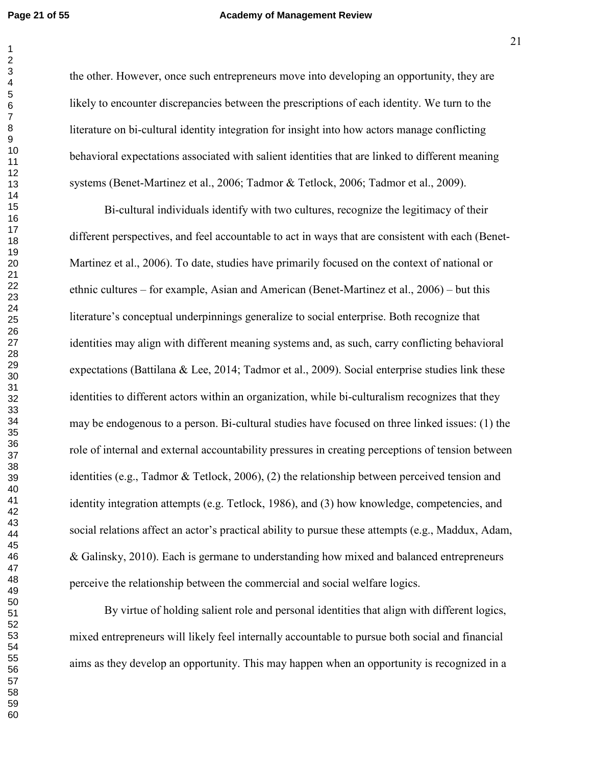#### **Page 21 of 55 Academy of Management Review**

the other. However, once such entrepreneurs move into developing an opportunity, they are likely to encounter discrepancies between the prescriptions of each identity. We turn to the literature on bi-cultural identity integration for insight into how actors manage conflicting behavioral expectations associated with salient identities that are linked to different meaning systems (Benet-Martinez et al., 2006; Tadmor & Tetlock, 2006; Tadmor et al., 2009).

Bi-cultural individuals identify with two cultures, recognize the legitimacy of their different perspectives, and feel accountable to act in ways that are consistent with each (Benet-Martinez et al., 2006). To date, studies have primarily focused on the context of national or ethnic cultures – for example, Asian and American (Benet-Martinez et al., 2006) – but this literature's conceptual underpinnings generalize to social enterprise. Both recognize that identities may align with different meaning systems and, as such, carry conflicting behavioral expectations (Battilana & Lee, 2014; Tadmor et al., 2009). Social enterprise studies link these identities to different actors within an organization, while bi-culturalism recognizes that they may be endogenous to a person. Bi-cultural studies have focused on three linked issues: (1) the role of internal and external accountability pressures in creating perceptions of tension between identities (e.g., Tadmor & Tetlock, 2006), (2) the relationship between perceived tension and identity integration attempts (e.g. Tetlock, 1986), and (3) how knowledge, competencies, and social relations affect an actor's practical ability to pursue these attempts (e.g., Maddux, Adam, & Galinsky, 2010). Each is germane to understanding how mixed and balanced entrepreneurs perceive the relationship between the commercial and social welfare logics.

By virtue of holding salient role and personal identities that align with different logics, mixed entrepreneurs will likely feel internally accountable to pursue both social and financial aims as they develop an opportunity. This may happen when an opportunity is recognized in a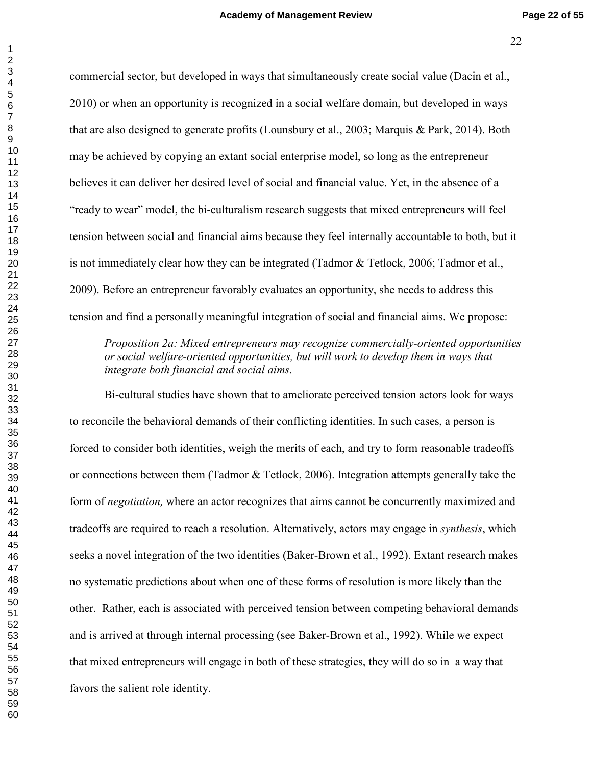commercial sector, but developed in ways that simultaneously create social value (Dacin et al., 2010) or when an opportunity is recognized in a social welfare domain, but developed in ways that are also designed to generate profits (Lounsbury et al., 2003; Marquis & Park, 2014). Both may be achieved by copying an extant social enterprise model, so long as the entrepreneur believes it can deliver her desired level of social and financial value. Yet, in the absence of a "ready to wear" model, the bi-culturalism research suggests that mixed entrepreneurs will feel tension between social and financial aims because they feel internally accountable to both, but it is not immediately clear how they can be integrated (Tadmor & Tetlock, 2006; Tadmor et al., 2009). Before an entrepreneur favorably evaluates an opportunity, she needs to address this tension and find a personally meaningful integration of social and financial aims. We propose:

# *Proposition 2a: Mixed entrepreneurs may recognize commercially-oriented opportunities or social welfare-oriented opportunities, but will work to develop them in ways that integrate both financial and social aims.*

Bi-cultural studies have shown that to ameliorate perceived tension actors look for ways to reconcile the behavioral demands of their conflicting identities. In such cases, a person is forced to consider both identities, weigh the merits of each, and try to form reasonable tradeoffs or connections between them (Tadmor  $\&$  Tetlock, 2006). Integration attempts generally take the form of *negotiation,* where an actor recognizes that aims cannot be concurrently maximized and tradeoffs are required to reach a resolution. Alternatively, actors may engage in *synthesis*, which seeks a novel integration of the two identities (Baker-Brown et al., 1992). Extant research makes no systematic predictions about when one of these forms of resolution is more likely than the other. Rather, each is associated with perceived tension between competing behavioral demands and is arrived at through internal processing (see Baker-Brown et al., 1992). While we expect that mixed entrepreneurs will engage in both of these strategies, they will do so in a way that favors the salient role identity.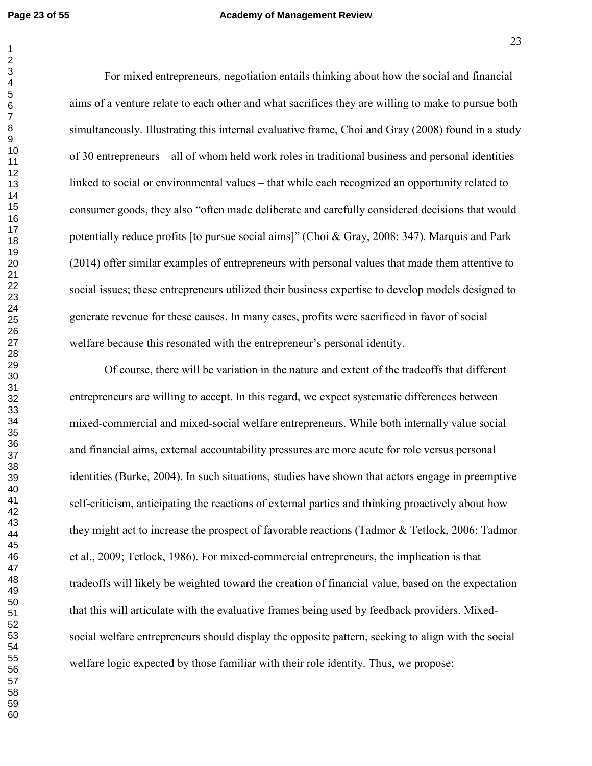For mixed entrepreneurs, negotiation entails thinking about how the social and financial aims of a venture relate to each other and what sacrifices they are willing to make to pursue both simultaneously. Illustrating this internal evaluative frame, Choi and Gray (2008) found in a study of 30 entrepreneurs – all of whom held work roles in traditional business and personal identities linked to social or environmental values – that while each recognized an opportunity related to consumer goods, they also "often made deliberate and carefully considered decisions that would potentially reduce profits [to pursue social aims]" (Choi & Gray, 2008: 347). Marquis and Park (2014) offer similar examples of entrepreneurs with personal values that made them attentive to social issues; these entrepreneurs utilized their business expertise to develop models designed to generate revenue for these causes. In many cases, profits were sacrificed in favor of social welfare because this resonated with the entrepreneur's personal identity.

Of course, there will be variation in the nature and extent of the tradeoffs that different entrepreneurs are willing to accept. In this regard, we expect systematic differences between mixed-commercial and mixed-social welfare entrepreneurs. While both internally value social and financial aims, external accountability pressures are more acute for role versus personal identities (Burke, 2004). In such situations, studies have shown that actors engage in preemptive self-criticism, anticipating the reactions of external parties and thinking proactively about how they might act to increase the prospect of favorable reactions (Tadmor & Tetlock, 2006; Tadmor et al., 2009; Tetlock, 1986). For mixed-commercial entrepreneurs, the implication is that tradeoffs will likely be weighted toward the creation of financial value, based on the expectation that this will articulate with the evaluative frames being used by feedback providers. Mixedsocial welfare entrepreneurs should display the opposite pattern, seeking to align with the social welfare logic expected by those familiar with their role identity. Thus, we propose: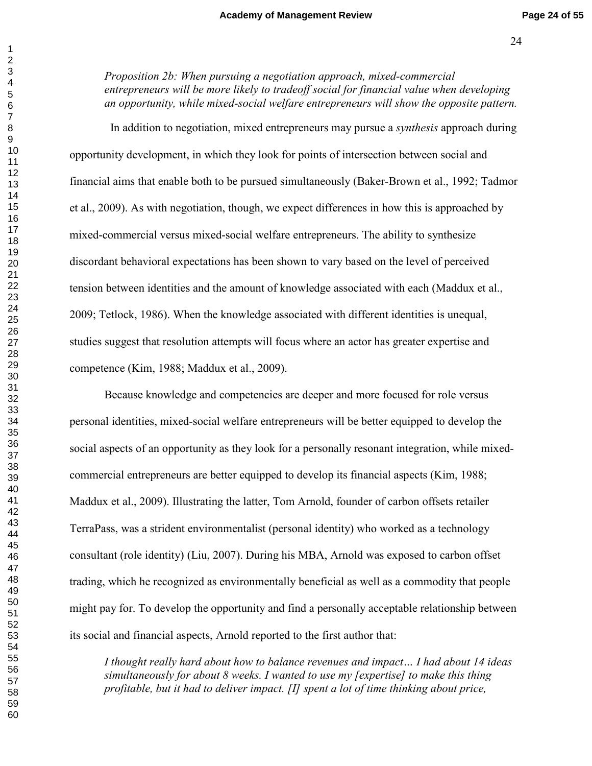*Proposition 2b: When pursuing a negotiation approach, mixed-commercial entrepreneurs will be more likely to tradeoff social for financial value when developing an opportunity, while mixed-social welfare entrepreneurs will show the opposite pattern.* 

 In addition to negotiation, mixed entrepreneurs may pursue a *synthesis* approach during opportunity development, in which they look for points of intersection between social and financial aims that enable both to be pursued simultaneously (Baker-Brown et al., 1992; Tadmor et al., 2009). As with negotiation, though, we expect differences in how this is approached by mixed-commercial versus mixed-social welfare entrepreneurs. The ability to synthesize discordant behavioral expectations has been shown to vary based on the level of perceived tension between identities and the amount of knowledge associated with each (Maddux et al., 2009; Tetlock, 1986). When the knowledge associated with different identities is unequal, studies suggest that resolution attempts will focus where an actor has greater expertise and competence (Kim, 1988; Maddux et al., 2009).

Because knowledge and competencies are deeper and more focused for role versus personal identities, mixed-social welfare entrepreneurs will be better equipped to develop the social aspects of an opportunity as they look for a personally resonant integration, while mixedcommercial entrepreneurs are better equipped to develop its financial aspects (Kim, 1988; Maddux et al., 2009). Illustrating the latter, Tom Arnold, founder of carbon offsets retailer TerraPass, was a strident environmentalist (personal identity) who worked as a technology consultant (role identity) (Liu, 2007). During his MBA, Arnold was exposed to carbon offset trading, which he recognized as environmentally beneficial as well as a commodity that people might pay for. To develop the opportunity and find a personally acceptable relationship between its social and financial aspects, Arnold reported to the first author that:

*I thought really hard about how to balance revenues and impact… I had about 14 ideas simultaneously for about 8 weeks. I wanted to use my [expertise] to make this thing profitable, but it had to deliver impact. [I] spent a lot of time thinking about price,*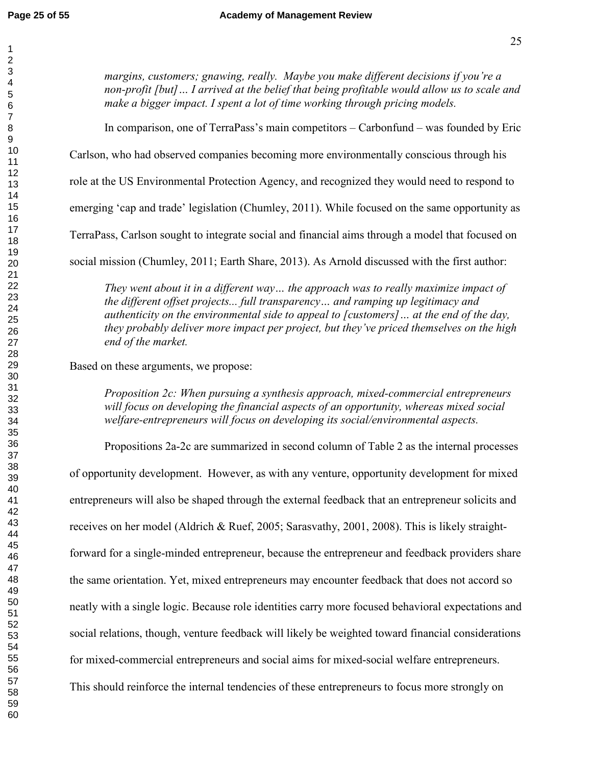*margins, customers; gnawing, really. Maybe you make different decisions if you're a non-profit [but]… I arrived at the belief that being profitable would allow us to scale and make a bigger impact. I spent a lot of time working through pricing models.* 

In comparison, one of TerraPass's main competitors – Carbonfund – was founded by Eric

Carlson, who had observed companies becoming more environmentally conscious through his

role at the US Environmental Protection Agency, and recognized they would need to respond to

emerging 'cap and trade' legislation (Chumley, 2011). While focused on the same opportunity as

TerraPass, Carlson sought to integrate social and financial aims through a model that focused on

social mission (Chumley, 2011; Earth Share, 2013). As Arnold discussed with the first author:

*They went about it in a different way… the approach was to really maximize impact of the different offset projects... full transparency… and ramping up legitimacy and authenticity on the environmental side to appeal to [customers]… at the end of the day, they probably deliver more impact per project, but they've priced themselves on the high end of the market.* 

Based on these arguments, we propose:

*Proposition 2c: When pursuing a synthesis approach, mixed-commercial entrepreneurs will focus on developing the financial aspects of an opportunity, whereas mixed social welfare-entrepreneurs will focus on developing its social/environmental aspects.* 

Propositions 2a-2c are summarized in second column of Table 2 as the internal processes of opportunity development. However, as with any venture, opportunity development for mixed entrepreneurs will also be shaped through the external feedback that an entrepreneur solicits and receives on her model (Aldrich & Ruef, 2005; Sarasvathy, 2001, 2008). This is likely straightforward for a single-minded entrepreneur, because the entrepreneur and feedback providers share the same orientation. Yet, mixed entrepreneurs may encounter feedback that does not accord so neatly with a single logic. Because role identities carry more focused behavioral expectations and social relations, though, venture feedback will likely be weighted toward financial considerations for mixed-commercial entrepreneurs and social aims for mixed-social welfare entrepreneurs. This should reinforce the internal tendencies of these entrepreneurs to focus more strongly on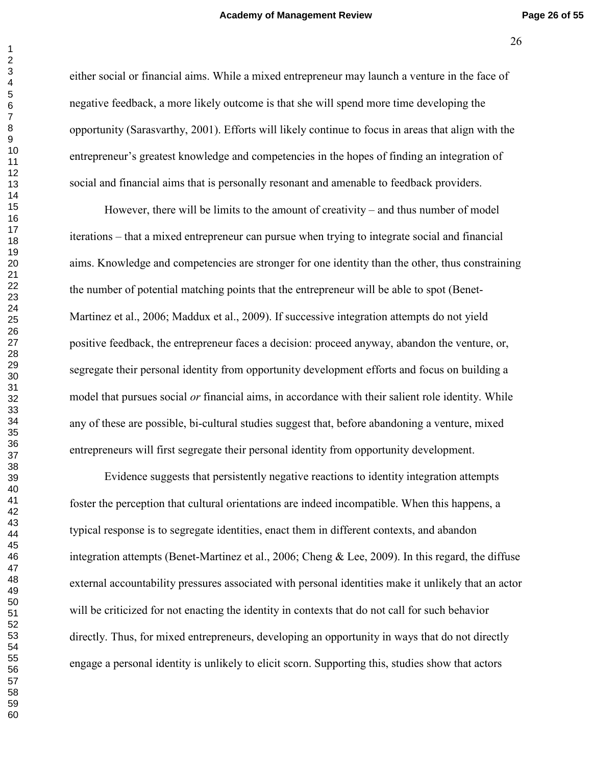either social or financial aims. While a mixed entrepreneur may launch a venture in the face of negative feedback, a more likely outcome is that she will spend more time developing the opportunity (Sarasvarthy, 2001). Efforts will likely continue to focus in areas that align with the entrepreneur's greatest knowledge and competencies in the hopes of finding an integration of social and financial aims that is personally resonant and amenable to feedback providers.

However, there will be limits to the amount of creativity – and thus number of model iterations – that a mixed entrepreneur can pursue when trying to integrate social and financial aims. Knowledge and competencies are stronger for one identity than the other, thus constraining the number of potential matching points that the entrepreneur will be able to spot (Benet-Martinez et al., 2006; Maddux et al., 2009). If successive integration attempts do not yield positive feedback, the entrepreneur faces a decision: proceed anyway, abandon the venture, or, segregate their personal identity from opportunity development efforts and focus on building a model that pursues social *or* financial aims, in accordance with their salient role identity. While any of these are possible, bi-cultural studies suggest that, before abandoning a venture, mixed entrepreneurs will first segregate their personal identity from opportunity development.

Evidence suggests that persistently negative reactions to identity integration attempts foster the perception that cultural orientations are indeed incompatible. When this happens, a typical response is to segregate identities, enact them in different contexts, and abandon integration attempts (Benet-Martinez et al., 2006; Cheng & Lee, 2009). In this regard, the diffuse external accountability pressures associated with personal identities make it unlikely that an actor will be criticized for not enacting the identity in contexts that do not call for such behavior directly. Thus, for mixed entrepreneurs, developing an opportunity in ways that do not directly engage a personal identity is unlikely to elicit scorn. Supporting this, studies show that actors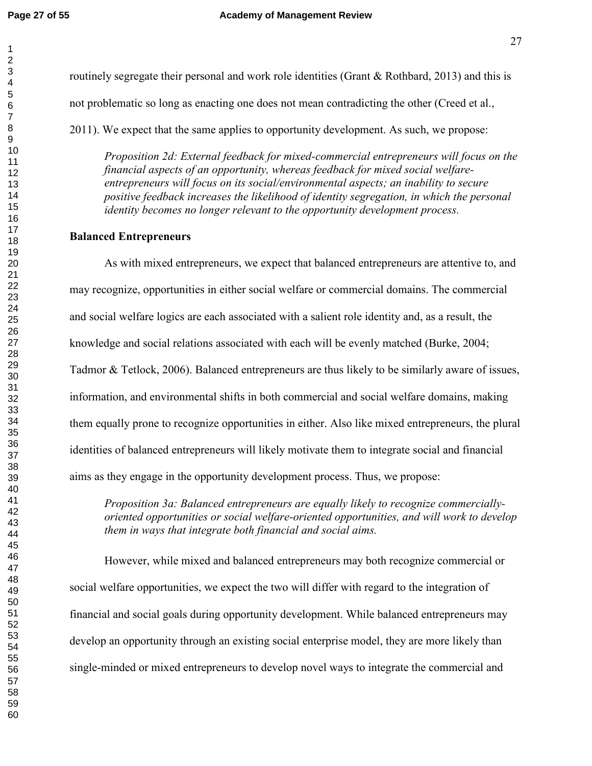routinely segregate their personal and work role identities (Grant & Rothbard, 2013) and this is not problematic so long as enacting one does not mean contradicting the other (Creed et al., 2011). We expect that the same applies to opportunity development. As such, we propose:

*Proposition 2d: External feedback for mixed-commercial entrepreneurs will focus on the financial aspects of an opportunity, whereas feedback for mixed social welfareentrepreneurs will focus on its social/environmental aspects; an inability to secure positive feedback increases the likelihood of identity segregation, in which the personal identity becomes no longer relevant to the opportunity development process.* 

# **Balanced Entrepreneurs**

As with mixed entrepreneurs, we expect that balanced entrepreneurs are attentive to, and may recognize, opportunities in either social welfare or commercial domains. The commercial and social welfare logics are each associated with a salient role identity and, as a result, the knowledge and social relations associated with each will be evenly matched (Burke, 2004; Tadmor & Tetlock, 2006). Balanced entrepreneurs are thus likely to be similarly aware of issues, information, and environmental shifts in both commercial and social welfare domains, making them equally prone to recognize opportunities in either. Also like mixed entrepreneurs, the plural identities of balanced entrepreneurs will likely motivate them to integrate social and financial aims as they engage in the opportunity development process. Thus, we propose:

*Proposition 3a: Balanced entrepreneurs are equally likely to recognize commerciallyoriented opportunities or social welfare-oriented opportunities, and will work to develop them in ways that integrate both financial and social aims.* 

 However, while mixed and balanced entrepreneurs may both recognize commercial or social welfare opportunities, we expect the two will differ with regard to the integration of financial and social goals during opportunity development. While balanced entrepreneurs may develop an opportunity through an existing social enterprise model, they are more likely than single-minded or mixed entrepreneurs to develop novel ways to integrate the commercial and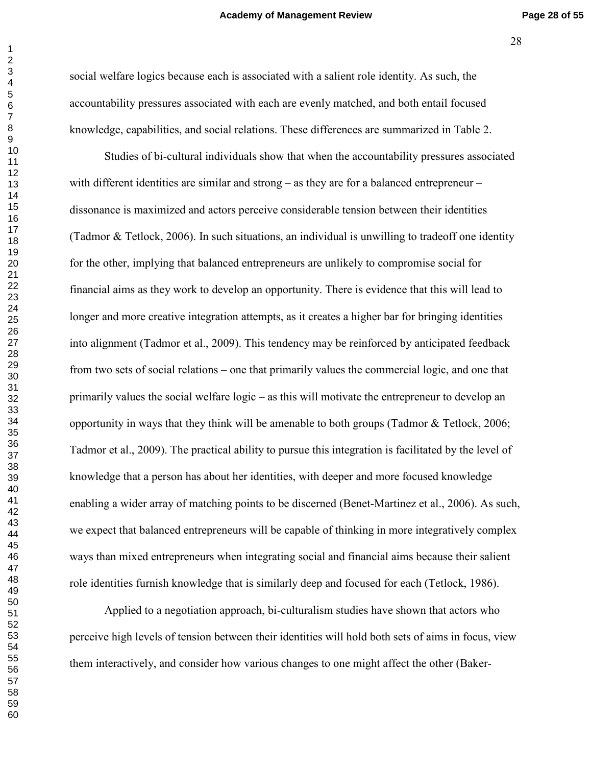social welfare logics because each is associated with a salient role identity. As such, the accountability pressures associated with each are evenly matched, and both entail focused knowledge, capabilities, and social relations. These differences are summarized in Table 2.

Studies of bi-cultural individuals show that when the accountability pressures associated with different identities are similar and strong – as they are for a balanced entrepreneur – dissonance is maximized and actors perceive considerable tension between their identities (Tadmor & Tetlock, 2006). In such situations, an individual is unwilling to tradeoff one identity for the other, implying that balanced entrepreneurs are unlikely to compromise social for financial aims as they work to develop an opportunity. There is evidence that this will lead to longer and more creative integration attempts, as it creates a higher bar for bringing identities into alignment (Tadmor et al., 2009). This tendency may be reinforced by anticipated feedback from two sets of social relations – one that primarily values the commercial logic, and one that primarily values the social welfare logic – as this will motivate the entrepreneur to develop an opportunity in ways that they think will be amenable to both groups (Tadmor & Tetlock, 2006; Tadmor et al., 2009). The practical ability to pursue this integration is facilitated by the level of knowledge that a person has about her identities, with deeper and more focused knowledge enabling a wider array of matching points to be discerned (Benet-Martinez et al., 2006). As such, we expect that balanced entrepreneurs will be capable of thinking in more integratively complex ways than mixed entrepreneurs when integrating social and financial aims because their salient role identities furnish knowledge that is similarly deep and focused for each (Tetlock, 1986).

Applied to a negotiation approach, bi-culturalism studies have shown that actors who perceive high levels of tension between their identities will hold both sets of aims in focus, view them interactively, and consider how various changes to one might affect the other (Baker-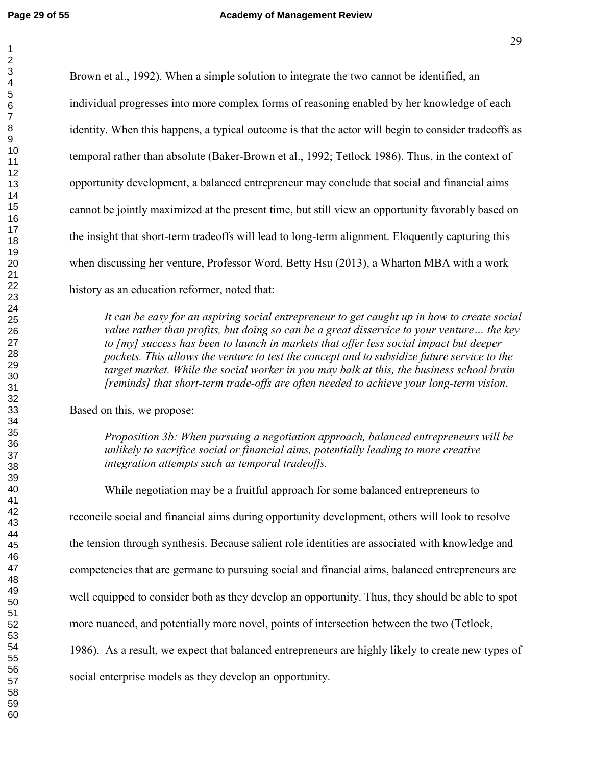Brown et al., 1992). When a simple solution to integrate the two cannot be identified, an individual progresses into more complex forms of reasoning enabled by her knowledge of each identity. When this happens, a typical outcome is that the actor will begin to consider tradeoffs as temporal rather than absolute (Baker-Brown et al., 1992; Tetlock 1986). Thus, in the context of opportunity development, a balanced entrepreneur may conclude that social and financial aims cannot be jointly maximized at the present time, but still view an opportunity favorably based on the insight that short-term tradeoffs will lead to long-term alignment. Eloquently capturing this when discussing her venture, Professor Word, Betty Hsu (2013), a Wharton MBA with a work history as an education reformer, noted that:

*It can be easy for an aspiring social entrepreneur to get caught up in how to create social value rather than profits, but doing so can be a great disservice to your venture… the key to [my] success has been to launch in markets that offer less social impact but deeper pockets. This allows the venture to test the concept and to subsidize future service to the target market. While the social worker in you may balk at this, the business school brain [reminds] that short-term trade-offs are often needed to achieve your long-term vision*.

Based on this, we propose:

*Proposition 3b: When pursuing a negotiation approach, balanced entrepreneurs will be unlikely to sacrifice social or financial aims, potentially leading to more creative integration attempts such as temporal tradeoffs.* 

 While negotiation may be a fruitful approach for some balanced entrepreneurs to reconcile social and financial aims during opportunity development, others will look to resolve the tension through synthesis. Because salient role identities are associated with knowledge and competencies that are germane to pursuing social and financial aims, balanced entrepreneurs are well equipped to consider both as they develop an opportunity. Thus, they should be able to spot more nuanced, and potentially more novel, points of intersection between the two (Tetlock, 1986). As a result, we expect that balanced entrepreneurs are highly likely to create new types of social enterprise models as they develop an opportunity.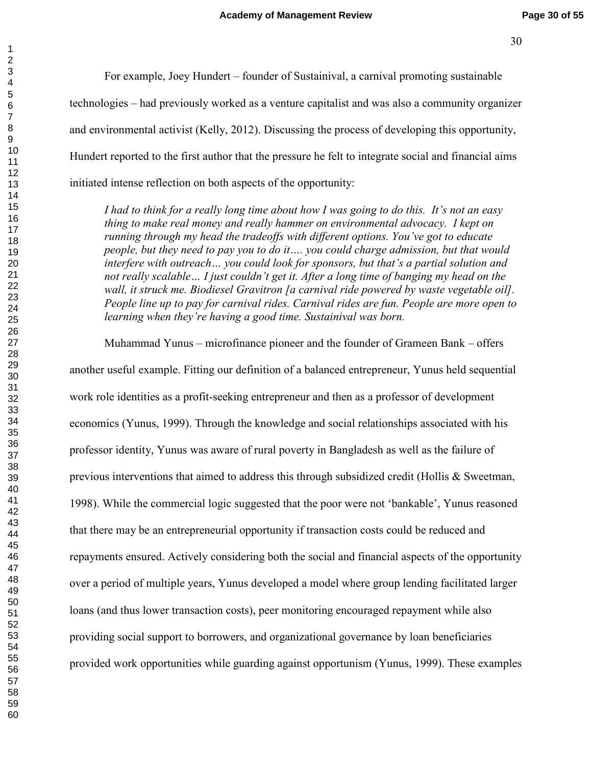For example, Joey Hundert – founder of Sustainival, a carnival promoting sustainable technologies – had previously worked as a venture capitalist and was also a community organizer and environmental activist (Kelly, 2012). Discussing the process of developing this opportunity, Hundert reported to the first author that the pressure he felt to integrate social and financial aims initiated intense reflection on both aspects of the opportunity:

*I had to think for a really long time about how I was going to do this. It's not an easy thing to make real money and really hammer on environmental advocacy. I kept on running through my head the tradeoffs with different options. You've got to educate people, but they need to pay you to do it…. you could charge admission, but that would interfere with outreach… you could look for sponsors, but that's a partial solution and not really scalable… I just couldn't get it. After a long time of banging my head on the wall, it struck me. Biodiesel Gravitron [a carnival ride powered by waste vegetable oil]. People line up to pay for carnival rides. Carnival rides are fun. People are more open to learning when they're having a good time. Sustainival was born.*

Muhammad Yunus – microfinance pioneer and the founder of Grameen Bank – offers another useful example. Fitting our definition of a balanced entrepreneur, Yunus held sequential work role identities as a profit-seeking entrepreneur and then as a professor of development economics (Yunus, 1999). Through the knowledge and social relationships associated with his professor identity, Yunus was aware of rural poverty in Bangladesh as well as the failure of previous interventions that aimed to address this through subsidized credit (Hollis & Sweetman, 1998). While the commercial logic suggested that the poor were not 'bankable', Yunus reasoned that there may be an entrepreneurial opportunity if transaction costs could be reduced and repayments ensured. Actively considering both the social and financial aspects of the opportunity over a period of multiple years, Yunus developed a model where group lending facilitated larger loans (and thus lower transaction costs), peer monitoring encouraged repayment while also providing social support to borrowers, and organizational governance by loan beneficiaries provided work opportunities while guarding against opportunism (Yunus, 1999). These examples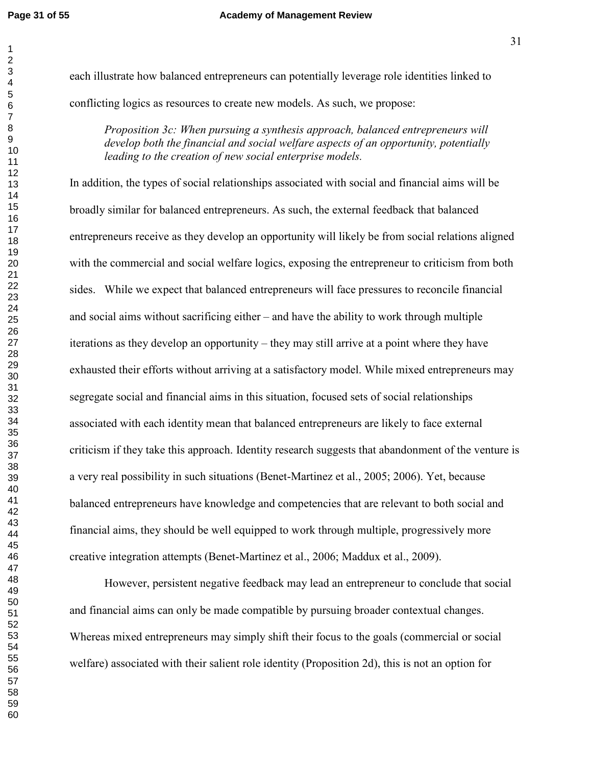each illustrate how balanced entrepreneurs can potentially leverage role identities linked to conflicting logics as resources to create new models. As such, we propose:

*Proposition 3c: When pursuing a synthesis approach, balanced entrepreneurs will develop both the financial and social welfare aspects of an opportunity, potentially leading to the creation of new social enterprise models.* 

In addition, the types of social relationships associated with social and financial aims will be broadly similar for balanced entrepreneurs. As such, the external feedback that balanced entrepreneurs receive as they develop an opportunity will likely be from social relations aligned with the commercial and social welfare logics, exposing the entrepreneur to criticism from both sides. While we expect that balanced entrepreneurs will face pressures to reconcile financial and social aims without sacrificing either – and have the ability to work through multiple iterations as they develop an opportunity – they may still arrive at a point where they have exhausted their efforts without arriving at a satisfactory model. While mixed entrepreneurs may segregate social and financial aims in this situation, focused sets of social relationships associated with each identity mean that balanced entrepreneurs are likely to face external criticism if they take this approach. Identity research suggests that abandonment of the venture is a very real possibility in such situations (Benet-Martinez et al., 2005; 2006). Yet, because balanced entrepreneurs have knowledge and competencies that are relevant to both social and financial aims, they should be well equipped to work through multiple, progressively more creative integration attempts (Benet-Martinez et al., 2006; Maddux et al., 2009).

However, persistent negative feedback may lead an entrepreneur to conclude that social and financial aims can only be made compatible by pursuing broader contextual changes. Whereas mixed entrepreneurs may simply shift their focus to the goals (commercial or social welfare) associated with their salient role identity (Proposition 2d), this is not an option for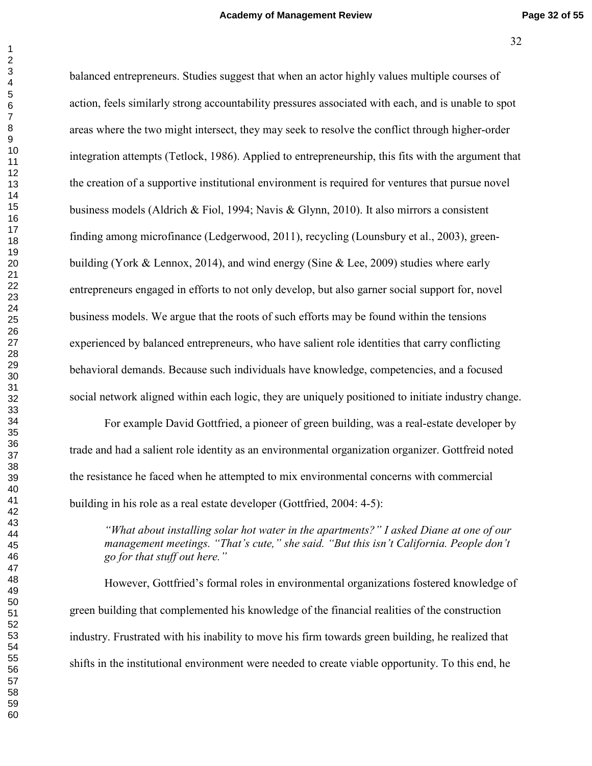balanced entrepreneurs. Studies suggest that when an actor highly values multiple courses of action, feels similarly strong accountability pressures associated with each, and is unable to spot areas where the two might intersect, they may seek to resolve the conflict through higher-order integration attempts (Tetlock, 1986). Applied to entrepreneurship, this fits with the argument that the creation of a supportive institutional environment is required for ventures that pursue novel business models (Aldrich & Fiol, 1994; Navis & Glynn, 2010). It also mirrors a consistent finding among microfinance (Ledgerwood, 2011), recycling (Lounsbury et al., 2003), greenbuilding (York & Lennox, 2014), and wind energy (Sine & Lee, 2009) studies where early entrepreneurs engaged in efforts to not only develop, but also garner social support for, novel business models. We argue that the roots of such efforts may be found within the tensions experienced by balanced entrepreneurs, who have salient role identities that carry conflicting behavioral demands. Because such individuals have knowledge, competencies, and a focused social network aligned within each logic, they are uniquely positioned to initiate industry change.

For example David Gottfried, a pioneer of green building, was a real-estate developer by trade and had a salient role identity as an environmental organization organizer. Gottfreid noted the resistance he faced when he attempted to mix environmental concerns with commercial building in his role as a real estate developer (Gottfried, 2004: 4-5):

*"What about installing solar hot water in the apartments?" I asked Diane at one of our management meetings. "That's cute," she said. "But this isn't California. People don't go for that stuff out here."* 

 However, Gottfried's formal roles in environmental organizations fostered knowledge of green building that complemented his knowledge of the financial realities of the construction industry. Frustrated with his inability to move his firm towards green building, he realized that shifts in the institutional environment were needed to create viable opportunity. To this end, he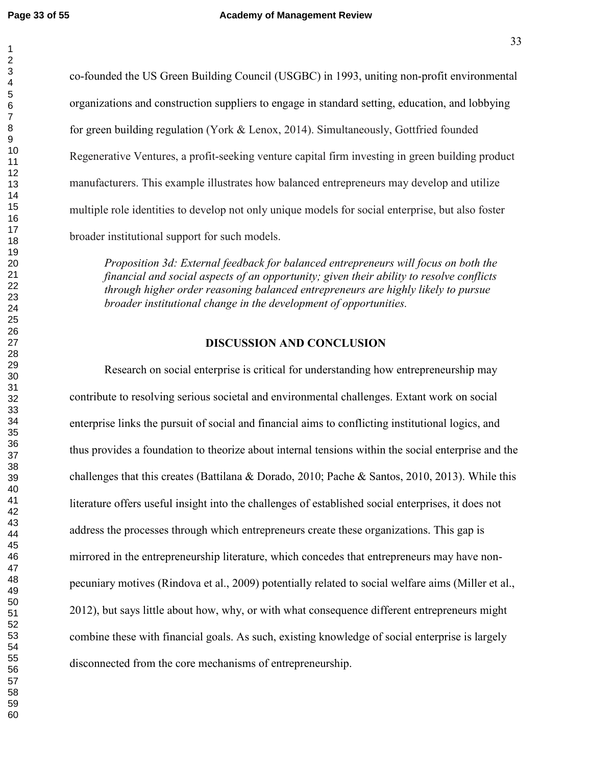co-founded the US Green Building Council (USGBC) in 1993, uniting non-profit environmental organizations and construction suppliers to engage in standard setting, education, and lobbying for green building regulation (York & Lenox, 2014). Simultaneously, Gottfried founded Regenerative Ventures, a profit-seeking venture capital firm investing in green building product manufacturers. This example illustrates how balanced entrepreneurs may develop and utilize multiple role identities to develop not only unique models for social enterprise, but also foster broader institutional support for such models.

*Proposition 3d: External feedback for balanced entrepreneurs will focus on both the financial and social aspects of an opportunity; given their ability to resolve conflicts through higher order reasoning balanced entrepreneurs are highly likely to pursue broader institutional change in the development of opportunities.* 

## **DISCUSSION AND CONCLUSION**

Research on social enterprise is critical for understanding how entrepreneurship may contribute to resolving serious societal and environmental challenges. Extant work on social enterprise links the pursuit of social and financial aims to conflicting institutional logics, and thus provides a foundation to theorize about internal tensions within the social enterprise and the challenges that this creates (Battilana & Dorado, 2010; Pache & Santos, 2010, 2013). While this literature offers useful insight into the challenges of established social enterprises, it does not address the processes through which entrepreneurs create these organizations. This gap is mirrored in the entrepreneurship literature, which concedes that entrepreneurs may have nonpecuniary motives (Rindova et al., 2009) potentially related to social welfare aims (Miller et al., 2012), but says little about how, why, or with what consequence different entrepreneurs might combine these with financial goals. As such, existing knowledge of social enterprise is largely disconnected from the core mechanisms of entrepreneurship.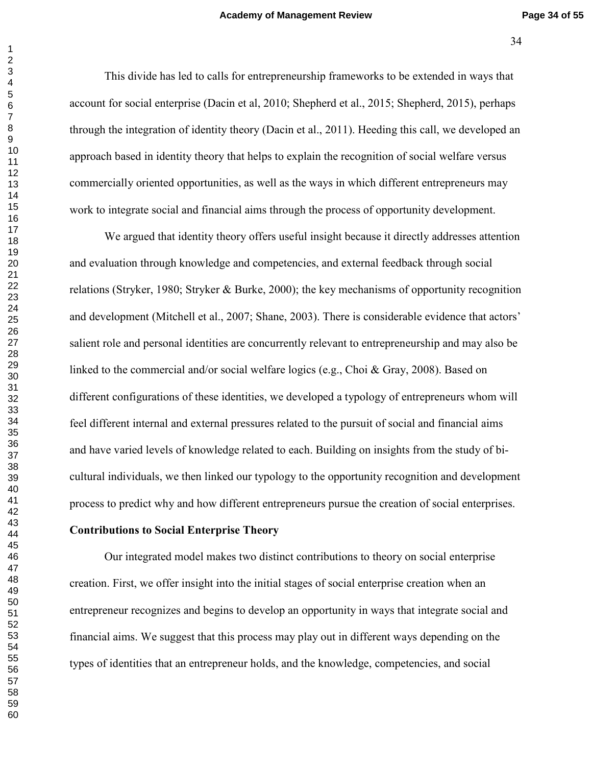This divide has led to calls for entrepreneurship frameworks to be extended in ways that account for social enterprise (Dacin et al, 2010; Shepherd et al., 2015; Shepherd, 2015), perhaps through the integration of identity theory (Dacin et al., 2011). Heeding this call, we developed an approach based in identity theory that helps to explain the recognition of social welfare versus commercially oriented opportunities, as well as the ways in which different entrepreneurs may work to integrate social and financial aims through the process of opportunity development.

We argued that identity theory offers useful insight because it directly addresses attention and evaluation through knowledge and competencies, and external feedback through social relations (Stryker, 1980; Stryker & Burke, 2000); the key mechanisms of opportunity recognition and development (Mitchell et al., 2007; Shane, 2003). There is considerable evidence that actors' salient role and personal identities are concurrently relevant to entrepreneurship and may also be linked to the commercial and/or social welfare logics (e.g., Choi & Gray, 2008). Based on different configurations of these identities, we developed a typology of entrepreneurs whom will feel different internal and external pressures related to the pursuit of social and financial aims and have varied levels of knowledge related to each. Building on insights from the study of bicultural individuals, we then linked our typology to the opportunity recognition and development process to predict why and how different entrepreneurs pursue the creation of social enterprises.

# **Contributions to Social Enterprise Theory**

Our integrated model makes two distinct contributions to theory on social enterprise creation. First, we offer insight into the initial stages of social enterprise creation when an entrepreneur recognizes and begins to develop an opportunity in ways that integrate social and financial aims. We suggest that this process may play out in different ways depending on the types of identities that an entrepreneur holds, and the knowledge, competencies, and social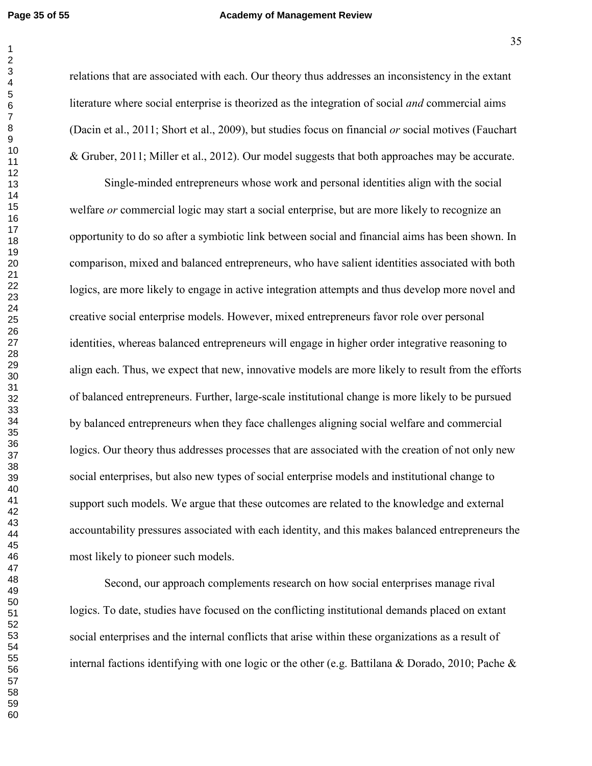#### **Page 35 of 55 Academy of Management Review**

relations that are associated with each. Our theory thus addresses an inconsistency in the extant literature where social enterprise is theorized as the integration of social *and* commercial aims (Dacin et al., 2011; Short et al., 2009), but studies focus on financial *or* social motives (Fauchart & Gruber, 2011; Miller et al., 2012). Our model suggests that both approaches may be accurate.

Single-minded entrepreneurs whose work and personal identities align with the social welfare *or* commercial logic may start a social enterprise, but are more likely to recognize an opportunity to do so after a symbiotic link between social and financial aims has been shown. In comparison, mixed and balanced entrepreneurs, who have salient identities associated with both logics, are more likely to engage in active integration attempts and thus develop more novel and creative social enterprise models. However, mixed entrepreneurs favor role over personal identities, whereas balanced entrepreneurs will engage in higher order integrative reasoning to align each. Thus, we expect that new, innovative models are more likely to result from the efforts of balanced entrepreneurs. Further, large-scale institutional change is more likely to be pursued by balanced entrepreneurs when they face challenges aligning social welfare and commercial logics. Our theory thus addresses processes that are associated with the creation of not only new social enterprises, but also new types of social enterprise models and institutional change to support such models. We argue that these outcomes are related to the knowledge and external accountability pressures associated with each identity, and this makes balanced entrepreneurs the most likely to pioneer such models.

Second, our approach complements research on how social enterprises manage rival logics. To date, studies have focused on the conflicting institutional demands placed on extant social enterprises and the internal conflicts that arise within these organizations as a result of internal factions identifying with one logic or the other (e.g. Battilana & Dorado, 2010; Pache &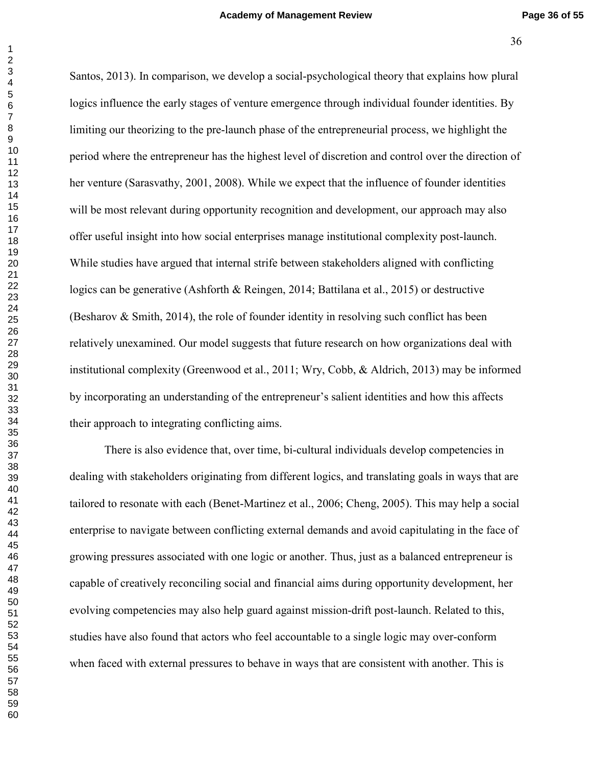Santos, 2013). In comparison, we develop a social-psychological theory that explains how plural logics influence the early stages of venture emergence through individual founder identities. By limiting our theorizing to the pre-launch phase of the entrepreneurial process, we highlight the period where the entrepreneur has the highest level of discretion and control over the direction of her venture (Sarasvathy, 2001, 2008). While we expect that the influence of founder identities will be most relevant during opportunity recognition and development, our approach may also offer useful insight into how social enterprises manage institutional complexity post-launch. While studies have argued that internal strife between stakeholders aligned with conflicting logics can be generative (Ashforth & Reingen, 2014; Battilana et al., 2015) or destructive (Besharov & Smith, 2014), the role of founder identity in resolving such conflict has been relatively unexamined. Our model suggests that future research on how organizations deal with institutional complexity (Greenwood et al., 2011; Wry, Cobb, & Aldrich, 2013) may be informed by incorporating an understanding of the entrepreneur's salient identities and how this affects their approach to integrating conflicting aims.

There is also evidence that, over time, bi-cultural individuals develop competencies in dealing with stakeholders originating from different logics, and translating goals in ways that are tailored to resonate with each (Benet-Martinez et al., 2006; Cheng, 2005). This may help a social enterprise to navigate between conflicting external demands and avoid capitulating in the face of growing pressures associated with one logic or another. Thus, just as a balanced entrepreneur is capable of creatively reconciling social and financial aims during opportunity development, her evolving competencies may also help guard against mission-drift post-launch. Related to this, studies have also found that actors who feel accountable to a single logic may over-conform when faced with external pressures to behave in ways that are consistent with another. This is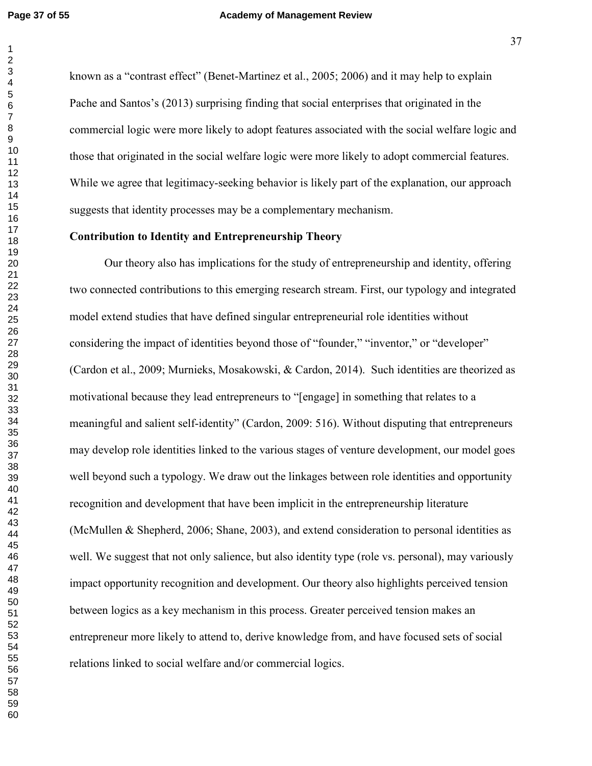known as a "contrast effect" (Benet-Martinez et al., 2005; 2006) and it may help to explain Pache and Santos's (2013) surprising finding that social enterprises that originated in the commercial logic were more likely to adopt features associated with the social welfare logic and those that originated in the social welfare logic were more likely to adopt commercial features. While we agree that legitimacy-seeking behavior is likely part of the explanation, our approach suggests that identity processes may be a complementary mechanism.

# **Contribution to Identity and Entrepreneurship Theory**

Our theory also has implications for the study of entrepreneurship and identity, offering two connected contributions to this emerging research stream. First, our typology and integrated model extend studies that have defined singular entrepreneurial role identities without considering the impact of identities beyond those of "founder," "inventor," or "developer" (Cardon et al., 2009; Murnieks, Mosakowski, & Cardon, 2014). Such identities are theorized as motivational because they lead entrepreneurs to "[engage] in something that relates to a meaningful and salient self-identity" (Cardon, 2009: 516). Without disputing that entrepreneurs may develop role identities linked to the various stages of venture development, our model goes well beyond such a typology. We draw out the linkages between role identities and opportunity recognition and development that have been implicit in the entrepreneurship literature (McMullen & Shepherd, 2006; Shane, 2003), and extend consideration to personal identities as well. We suggest that not only salience, but also identity type (role vs. personal), may variously impact opportunity recognition and development. Our theory also highlights perceived tension between logics as a key mechanism in this process. Greater perceived tension makes an entrepreneur more likely to attend to, derive knowledge from, and have focused sets of social relations linked to social welfare and/or commercial logics.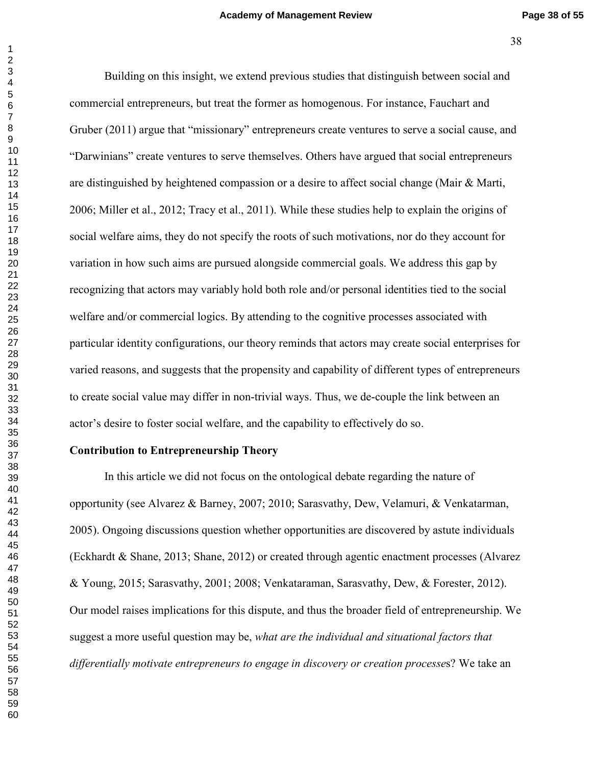Building on this insight, we extend previous studies that distinguish between social and commercial entrepreneurs, but treat the former as homogenous. For instance, Fauchart and Gruber (2011) argue that "missionary" entrepreneurs create ventures to serve a social cause, and "Darwinians" create ventures to serve themselves. Others have argued that social entrepreneurs are distinguished by heightened compassion or a desire to affect social change (Mair & Marti, 2006; Miller et al., 2012; Tracy et al., 2011). While these studies help to explain the origins of social welfare aims, they do not specify the roots of such motivations, nor do they account for variation in how such aims are pursued alongside commercial goals. We address this gap by recognizing that actors may variably hold both role and/or personal identities tied to the social welfare and/or commercial logics. By attending to the cognitive processes associated with particular identity configurations, our theory reminds that actors may create social enterprises for varied reasons, and suggests that the propensity and capability of different types of entrepreneurs to create social value may differ in non-trivial ways. Thus, we de-couple the link between an actor's desire to foster social welfare, and the capability to effectively do so.

# **Contribution to Entrepreneurship Theory**

In this article we did not focus on the ontological debate regarding the nature of opportunity (see Alvarez & Barney, 2007; 2010; Sarasvathy, Dew, Velamuri, & Venkatarman, 2005). Ongoing discussions question whether opportunities are discovered by astute individuals (Eckhardt & Shane, 2013; Shane, 2012) or created through agentic enactment processes (Alvarez & Young, 2015; Sarasvathy, 2001; 2008; Venkataraman, Sarasvathy, Dew, & Forester, 2012). Our model raises implications for this dispute, and thus the broader field of entrepreneurship. We suggest a more useful question may be, *what are the individual and situational factors that differentially motivate entrepreneurs to engage in discovery or creation processe*s? We take an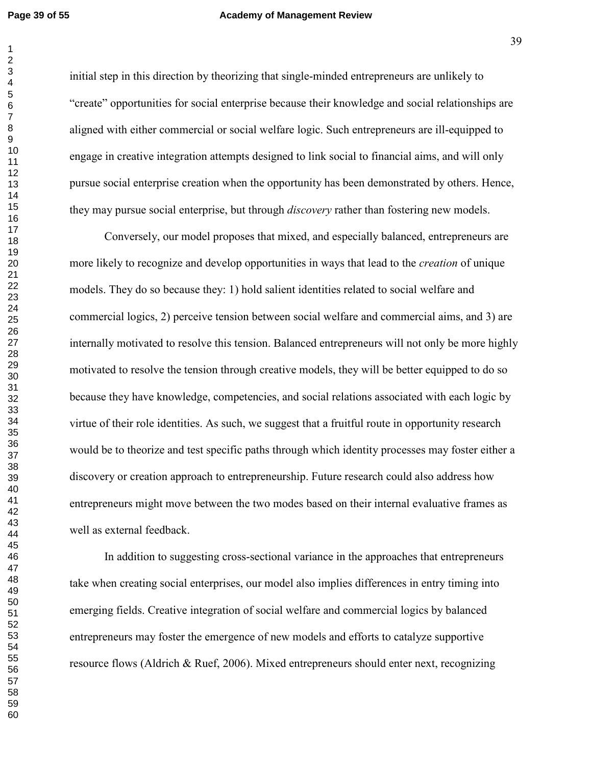#### **Page 39 of 55 Academy of Management Review**

initial step in this direction by theorizing that single-minded entrepreneurs are unlikely to "create" opportunities for social enterprise because their knowledge and social relationships are aligned with either commercial or social welfare logic. Such entrepreneurs are ill-equipped to engage in creative integration attempts designed to link social to financial aims, and will only pursue social enterprise creation when the opportunity has been demonstrated by others. Hence, they may pursue social enterprise, but through *discovery* rather than fostering new models.

 Conversely, our model proposes that mixed, and especially balanced, entrepreneurs are more likely to recognize and develop opportunities in ways that lead to the *creation* of unique models. They do so because they: 1) hold salient identities related to social welfare and commercial logics, 2) perceive tension between social welfare and commercial aims, and 3) are internally motivated to resolve this tension. Balanced entrepreneurs will not only be more highly motivated to resolve the tension through creative models, they will be better equipped to do so because they have knowledge, competencies, and social relations associated with each logic by virtue of their role identities. As such, we suggest that a fruitful route in opportunity research would be to theorize and test specific paths through which identity processes may foster either a discovery or creation approach to entrepreneurship. Future research could also address how entrepreneurs might move between the two modes based on their internal evaluative frames as well as external feedback.

In addition to suggesting cross-sectional variance in the approaches that entrepreneurs take when creating social enterprises, our model also implies differences in entry timing into emerging fields. Creative integration of social welfare and commercial logics by balanced entrepreneurs may foster the emergence of new models and efforts to catalyze supportive resource flows (Aldrich & Ruef, 2006). Mixed entrepreneurs should enter next, recognizing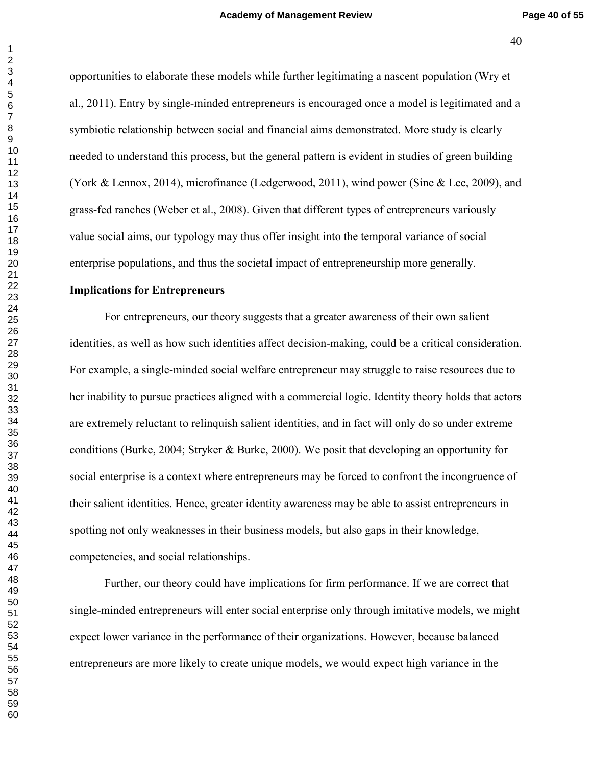opportunities to elaborate these models while further legitimating a nascent population (Wry et al., 2011). Entry by single-minded entrepreneurs is encouraged once a model is legitimated and a symbiotic relationship between social and financial aims demonstrated. More study is clearly needed to understand this process, but the general pattern is evident in studies of green building (York & Lennox, 2014), microfinance (Ledgerwood, 2011), wind power (Sine & Lee, 2009), and grass-fed ranches (Weber et al., 2008). Given that different types of entrepreneurs variously value social aims, our typology may thus offer insight into the temporal variance of social enterprise populations, and thus the societal impact of entrepreneurship more generally.

# **Implications for Entrepreneurs**

For entrepreneurs, our theory suggests that a greater awareness of their own salient identities, as well as how such identities affect decision-making, could be a critical consideration. For example, a single-minded social welfare entrepreneur may struggle to raise resources due to her inability to pursue practices aligned with a commercial logic. Identity theory holds that actors are extremely reluctant to relinquish salient identities, and in fact will only do so under extreme conditions (Burke, 2004; Stryker & Burke, 2000). We posit that developing an opportunity for social enterprise is a context where entrepreneurs may be forced to confront the incongruence of their salient identities. Hence, greater identity awareness may be able to assist entrepreneurs in spotting not only weaknesses in their business models, but also gaps in their knowledge, competencies, and social relationships.

Further, our theory could have implications for firm performance. If we are correct that single-minded entrepreneurs will enter social enterprise only through imitative models, we might expect lower variance in the performance of their organizations. However, because balanced entrepreneurs are more likely to create unique models, we would expect high variance in the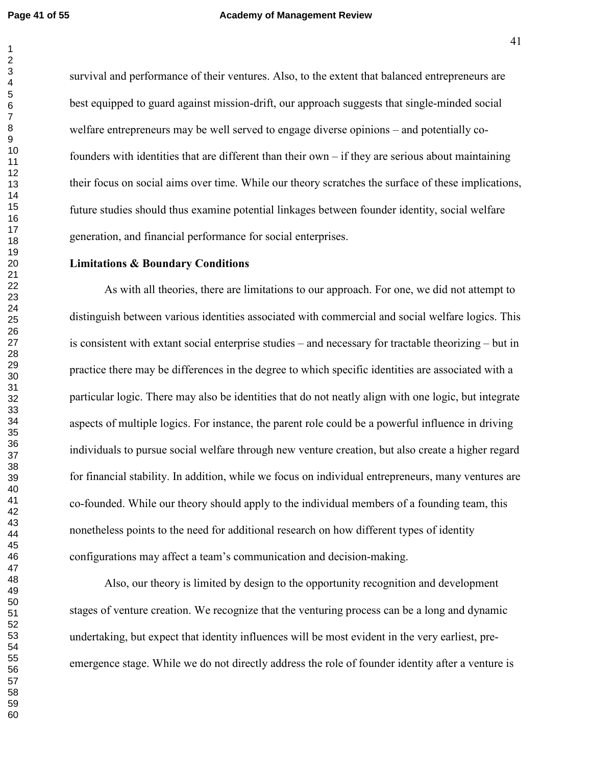survival and performance of their ventures. Also, to the extent that balanced entrepreneurs are best equipped to guard against mission-drift, our approach suggests that single-minded social welfare entrepreneurs may be well served to engage diverse opinions – and potentially cofounders with identities that are different than their own  $-$  if they are serious about maintaining their focus on social aims over time. While our theory scratches the surface of these implications, future studies should thus examine potential linkages between founder identity, social welfare generation, and financial performance for social enterprises.

## **Limitations & Boundary Conditions**

As with all theories, there are limitations to our approach. For one, we did not attempt to distinguish between various identities associated with commercial and social welfare logics. This is consistent with extant social enterprise studies – and necessary for tractable theorizing – but in practice there may be differences in the degree to which specific identities are associated with a particular logic. There may also be identities that do not neatly align with one logic, but integrate aspects of multiple logics. For instance, the parent role could be a powerful influence in driving individuals to pursue social welfare through new venture creation, but also create a higher regard for financial stability. In addition, while we focus on individual entrepreneurs, many ventures are co-founded. While our theory should apply to the individual members of a founding team, this nonetheless points to the need for additional research on how different types of identity configurations may affect a team's communication and decision-making.

 Also, our theory is limited by design to the opportunity recognition and development stages of venture creation. We recognize that the venturing process can be a long and dynamic undertaking, but expect that identity influences will be most evident in the very earliest, preemergence stage. While we do not directly address the role of founder identity after a venture is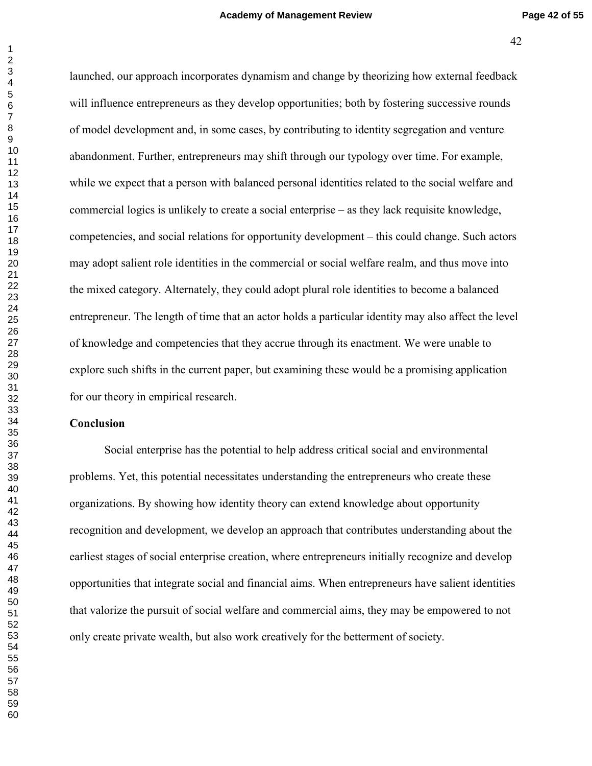launched, our approach incorporates dynamism and change by theorizing how external feedback will influence entrepreneurs as they develop opportunities; both by fostering successive rounds of model development and, in some cases, by contributing to identity segregation and venture abandonment. Further, entrepreneurs may shift through our typology over time. For example, while we expect that a person with balanced personal identities related to the social welfare and commercial logics is unlikely to create a social enterprise – as they lack requisite knowledge, competencies, and social relations for opportunity development – this could change. Such actors may adopt salient role identities in the commercial or social welfare realm, and thus move into the mixed category. Alternately, they could adopt plural role identities to become a balanced entrepreneur. The length of time that an actor holds a particular identity may also affect the level of knowledge and competencies that they accrue through its enactment. We were unable to explore such shifts in the current paper, but examining these would be a promising application for our theory in empirical research.

# **Conclusion**

Social enterprise has the potential to help address critical social and environmental problems. Yet, this potential necessitates understanding the entrepreneurs who create these organizations. By showing how identity theory can extend knowledge about opportunity recognition and development, we develop an approach that contributes understanding about the earliest stages of social enterprise creation, where entrepreneurs initially recognize and develop opportunities that integrate social and financial aims. When entrepreneurs have salient identities that valorize the pursuit of social welfare and commercial aims, they may be empowered to not only create private wealth, but also work creatively for the betterment of society.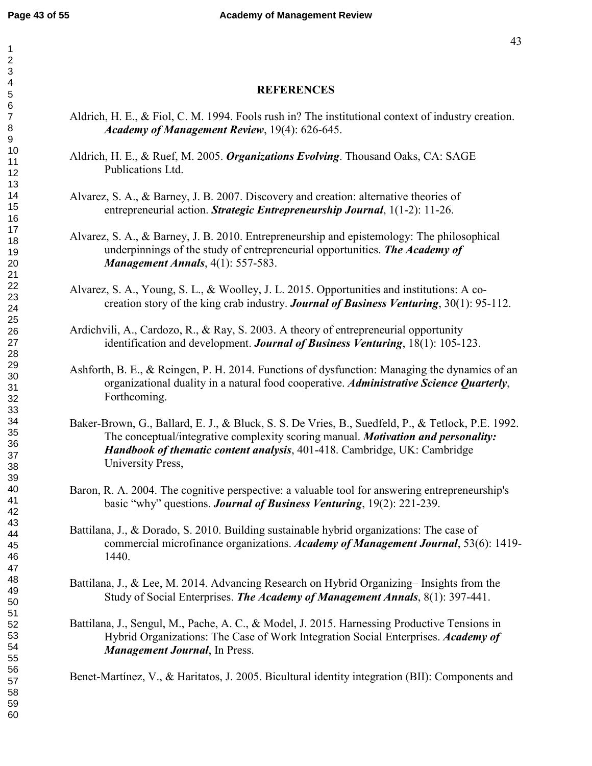# **REFERENCES**

- Aldrich, H. E., & Fiol, C. M. 1994. Fools rush in? The institutional context of industry creation. *Academy of Management Review*, 19(4): 626-645.
- Aldrich, H. E., & Ruef, M. 2005. *Organizations Evolving*. Thousand Oaks, CA: SAGE Publications Ltd.
- Alvarez, S. A., & Barney, J. B. 2007. Discovery and creation: alternative theories of entrepreneurial action. *Strategic Entrepreneurship Journal*, 1(1-2): 11-26.

Alvarez, S. A., & Barney, J. B. 2010. Entrepreneurship and epistemology: The philosophical underpinnings of the study of entrepreneurial opportunities. *The Academy of Management Annals*, 4(1): 557-583.

Alvarez, S. A., Young, S. L., & Woolley, J. L. 2015. Opportunities and institutions: A cocreation story of the king crab industry. *Journal of Business Venturing*, 30(1): 95-112.

Ardichvili, A., Cardozo, R., & Ray, S. 2003. A theory of entrepreneurial opportunity identification and development. *Journal of Business Venturing*, 18(1): 105-123.

- Ashforth, B. E., & Reingen, P. H. 2014. Functions of dysfunction: Managing the dynamics of an organizational duality in a natural food cooperative. *Administrative Science Quarterly*, Forthcoming.
- Baker-Brown, G., Ballard, E. J., & Bluck, S. S. De Vries, B., Suedfeld, P., & Tetlock, P.E. 1992. The conceptual/integrative complexity scoring manual. *Motivation and personality: Handbook of thematic content analysis*, 401-418. Cambridge, UK: Cambridge University Press,
- Baron, R. A. 2004. The cognitive perspective: a valuable tool for answering entrepreneurship's basic "why" questions. *Journal of Business Venturing*, 19(2): 221-239.
- Battilana, J., & Dorado, S. 2010. Building sustainable hybrid organizations: The case of commercial microfinance organizations. *Academy of Management Journal*, 53(6): 1419- 1440.
- Battilana, J., & Lee, M. 2014. Advancing Research on Hybrid Organizing– Insights from the Study of Social Enterprises. *The Academy of Management Annals*, 8(1): 397-441.
- Battilana, J., Sengul, M., Pache, A. C., & Model, J. 2015. Harnessing Productive Tensions in Hybrid Organizations: The Case of Work Integration Social Enterprises. *Academy of Management Journal*, In Press.

Benet-Martínez, V., & Haritatos, J. 2005. Bicultural identity integration (BII): Components and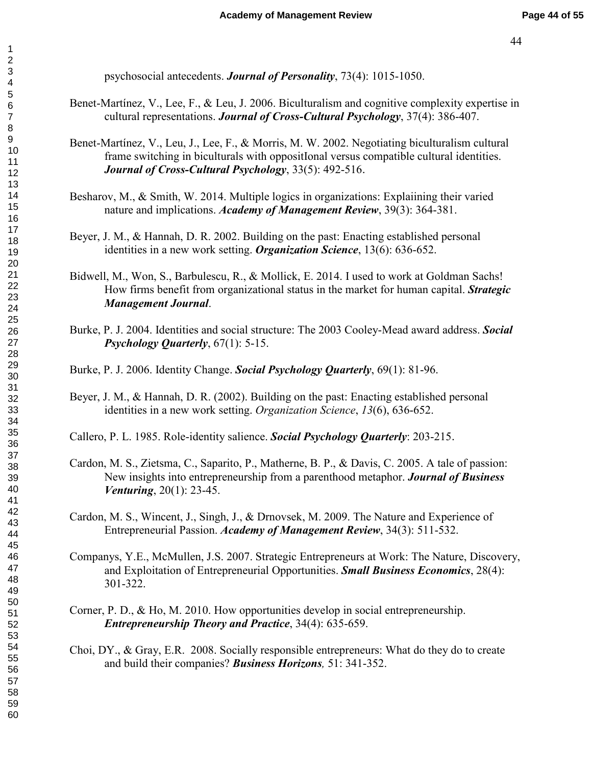psychosocial antecedents. *Journal of Personality*, 73(4): 1015-1050.

- Benet-Martínez, V., Lee, F., & Leu, J. 2006. Biculturalism and cognitive complexity expertise in cultural representations. *Journal of Cross-Cultural Psychology*, 37(4): 386-407.
- Benet-Martínez, V., Leu, J., Lee, F., & Morris, M. W. 2002. Negotiating biculturalism cultural frame switching in biculturals with oppositIonal versus compatible cultural identities. *Journal of Cross-Cultural Psychology*, 33(5): 492-516.
- Besharov, M., & Smith, W. 2014. Multiple logics in organizations: Explaiining their varied nature and implications. *Academy of Management Review*, 39(3): 364-381.
- Beyer, J. M., & Hannah, D. R. 2002. Building on the past: Enacting established personal identities in a new work setting. *Organization Science*, 13(6): 636-652.
- Bidwell, M., Won, S., Barbulescu, R., & Mollick, E. 2014. I used to work at Goldman Sachs! How firms benefit from organizational status in the market for human capital. *Strategic Management Journal*.
- Burke, P. J. 2004. Identities and social structure: The 2003 Cooley-Mead award address. *Social Psychology Quarterly*, 67(1): 5-15.
- Burke, P. J. 2006. Identity Change. *Social Psychology Quarterly*, 69(1): 81-96.
- Beyer, J. M., & Hannah, D. R. (2002). Building on the past: Enacting established personal identities in a new work setting. *Organization Science*, *13*(6), 636-652.
- Callero, P. L. 1985. Role-identity salience. *Social Psychology Quarterly*: 203-215.
- Cardon, M. S., Zietsma, C., Saparito, P., Matherne, B. P., & Davis, C. 2005. A tale of passion: New insights into entrepreneurship from a parenthood metaphor. *Journal of Business Venturing*, 20(1): 23-45.
- Cardon, M. S., Wincent, J., Singh, J., & Drnovsek, M. 2009. The Nature and Experience of Entrepreneurial Passion. *Academy of Management Review*, 34(3): 511-532.
- Companys, Y.E., McMullen, J.S. 2007. Strategic Entrepreneurs at Work: The Nature, Discovery, and Exploitation of Entrepreneurial Opportunities. *Small Business Economics*, 28(4): 301-322.
- Corner, P. D., & Ho, M. 2010. How opportunities develop in social entrepreneurship. *Entrepreneurship Theory and Practice*, 34(4): 635-659.
- Choi, DY., & Gray, E.R. 2008. Socially responsible entrepreneurs: What do they do to create and build their companies? *Business Horizons,* 51: 341-352.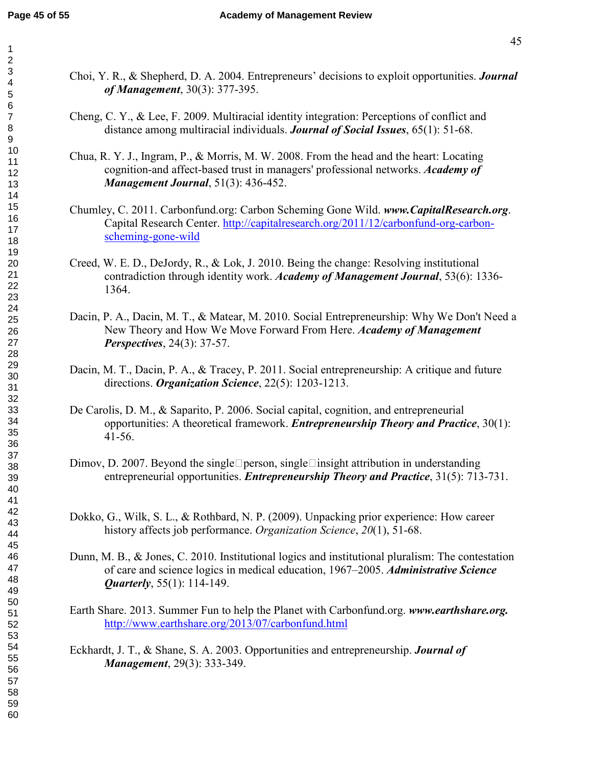- Choi, Y. R., & Shepherd, D. A. 2004. Entrepreneurs' decisions to exploit opportunities. *Journal of Management*, 30(3): 377-395.
- Cheng, C. Y., & Lee, F. 2009. Multiracial identity integration: Perceptions of conflict and distance among multiracial individuals. *Journal of Social Issues*, 65(1): 51-68.
- Chua, R. Y. J., Ingram, P., & Morris, M. W. 2008. From the head and the heart: Locating cognition-and affect-based trust in managers' professional networks. *Academy of Management Journal*, 51(3): 436-452.
- Chumley, C. 2011. Carbonfund.org: Carbon Scheming Gone Wild. *www.CapitalResearch.org*. Capital Research Center. http://capitalresearch.org/2011/12/carbonfund-org-carbonscheming-gone-wild
- Creed, W. E. D., DeJordy, R., & Lok, J. 2010. Being the change: Resolving institutional contradiction through identity work. *Academy of Management Journal*, 53(6): 1336- 1364.
- Dacin, P. A., Dacin, M. T., & Matear, M. 2010. Social Entrepreneurship: Why We Don't Need a New Theory and How We Move Forward From Here. *Academy of Management Perspectives*, 24(3): 37-57.
- Dacin, M. T., Dacin, P. A., & Tracey, P. 2011. Social entrepreneurship: A critique and future directions. *Organization Science*, 22(5): 1203-1213.
- De Carolis, D. M., & Saparito, P. 2006. Social capital, cognition, and entrepreneurial opportunities: A theoretical framework. *Entrepreneurship Theory and Practice*, 30(1): 41-56.
- Dimov, D. 2007. Beyond the singleUperson, singleUinsight attribution in understanding entrepreneurial opportunities. *Entrepreneurship Theory and Practice*, 31(5): 713-731.
- Dokko, G., Wilk, S. L., & Rothbard, N. P. (2009). Unpacking prior experience: How career history affects job performance. *Organization Science*, *20*(1), 51-68.
- Dunn, M. B., & Jones, C. 2010. Institutional logics and institutional pluralism: The contestation of care and science logics in medical education, 1967–2005. *Administrative Science Quarterly*, 55(1): 114-149.
- Earth Share. 2013. Summer Fun to help the Planet with Carbonfund.org. *www.earthshare.org.* http://www.earthshare.org/2013/07/carbonfund.html
- Eckhardt, J. T., & Shane, S. A. 2003. Opportunities and entrepreneurship. *Journal of Management*, 29(3): 333-349.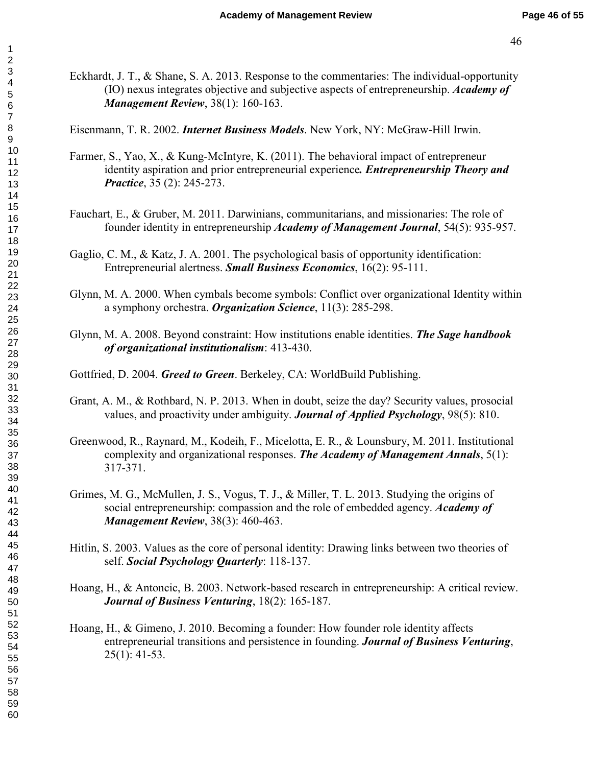Eckhardt, J. T., & Shane, S. A. 2013. Response to the commentaries: The individual-opportunity (IO) nexus integrates objective and subjective aspects of entrepreneurship. *Academy of Management Review*, 38(1): 160-163.

Eisenmann, T. R. 2002. *Internet Business Models*. New York, NY: McGraw-Hill Irwin.

- Farmer, S., Yao, X., & Kung-McIntyre, K. (2011). The behavioral impact of entrepreneur identity aspiration and prior entrepreneurial experience*. Entrepreneurship Theory and Practice*, 35 (2): 245-273.
- Fauchart, E., & Gruber, M. 2011. Darwinians, communitarians, and missionaries: The role of founder identity in entrepreneurship *Academy of Management Journal*, 54(5): 935-957.
- Gaglio, C. M., & Katz, J. A. 2001. The psychological basis of opportunity identification: Entrepreneurial alertness. *Small Business Economics*, 16(2): 95-111.
- Glynn, M. A. 2000. When cymbals become symbols: Conflict over organizational Identity within a symphony orchestra. *Organization Science*, 11(3): 285-298.
- Glynn, M. A. 2008. Beyond constraint: How institutions enable identities. *The Sage handbook of organizational institutionalism*: 413-430.
- Gottfried, D. 2004. *Greed to Green*. Berkeley, CA: WorldBuild Publishing.
- Grant, A. M., & Rothbard, N. P. 2013. When in doubt, seize the day? Security values, prosocial values, and proactivity under ambiguity. *Journal of Applied Psychology*, 98(5): 810.
- Greenwood, R., Raynard, M., Kodeih, F., Micelotta, E. R., & Lounsbury, M. 2011. Institutional complexity and organizational responses. *The Academy of Management Annals*, 5(1): 317-371.
- Grimes, M. G., McMullen, J. S., Vogus, T. J., & Miller, T. L. 2013. Studying the origins of social entrepreneurship: compassion and the role of embedded agency. *Academy of Management Review*, 38(3): 460-463.
- Hitlin, S. 2003. Values as the core of personal identity: Drawing links between two theories of self. *Social Psychology Quarterly*: 118-137.
- Hoang, H., & Antoncic, B. 2003. Network-based research in entrepreneurship: A critical review. *Journal of Business Venturing*, 18(2): 165-187.
- Hoang, H., & Gimeno, J. 2010. Becoming a founder: How founder role identity affects entrepreneurial transitions and persistence in founding. *Journal of Business Venturing*,  $25(1)$ : 41-53.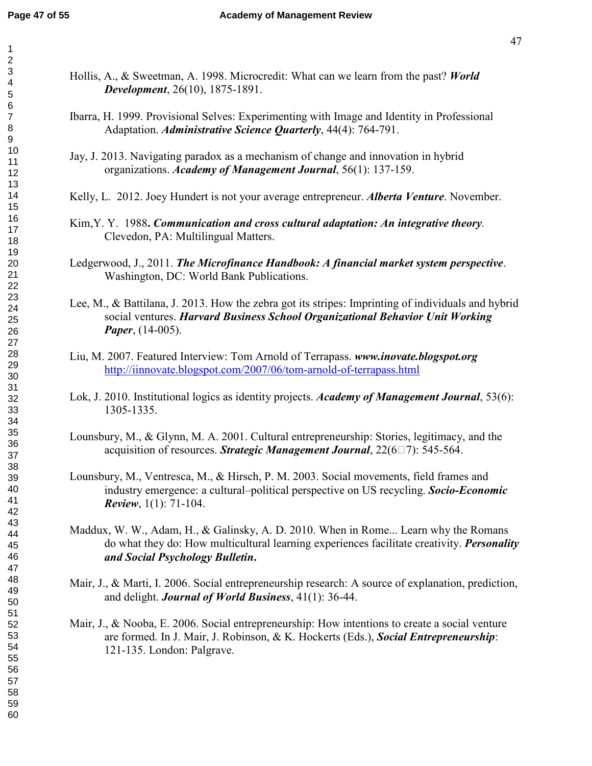- Hollis, A., & Sweetman, A. 1998. Microcredit: What can we learn from the past? *World Development*, 26(10), 1875-1891.
- Ibarra, H. 1999. Provisional Selves: Experimenting with Image and Identity in Professional Adaptation. *Administrative Science Quarterly*, 44(4): 764-791.
- Jay, J. 2013. Navigating paradox as a mechanism of change and innovation in hybrid organizations. *Academy of Management Journal*, 56(1): 137-159.
- Kelly, L. 2012. Joey Hundert is not your average entrepreneur. *Alberta Venture*. November.
- Kim,Y. Y. 1988**.** *Communication and cross cultural adaptation: An integrative theory.*  Clevedon, PA: Multilingual Matters.
- Ledgerwood, J., 2011. *The Microfinance Handbook: A financial market system perspective*. Washington, DC: World Bank Publications.
- Lee, M., & Battilana, J. 2013. How the zebra got its stripes: Imprinting of individuals and hybrid social ventures. *Harvard Business School Organizational Behavior Unit Working Paper*, (14-005).
- Liu, M. 2007. Featured Interview: Tom Arnold of Terrapass. *www.inovate.blogspot.org* http://iinnovate.blogspot.com/2007/06/tom-arnold-of-terrapass.html
- Lok, J. 2010. Institutional logics as identity projects. *Academy of Management Journal*, 53(6): 1305-1335.
- Lounsbury, M., & Glynn, M. A. 2001. Cultural entrepreneurship: Stories, legitimacy, and the acquisition of resources. *Strategic Management Journal*, 22(6U7): 545-564.
- Lounsbury, M., Ventresca, M., & Hirsch, P. M. 2003. Social movements, field frames and industry emergence: a cultural–political perspective on US recycling. *Socio-Economic Review*, 1(1): 71-104.
- Maddux, W. W., Adam, H., & Galinsky, A. D. 2010. When in Rome... Learn why the Romans do what they do: How multicultural learning experiences facilitate creativity. *Personality and Social Psychology Bulletin***.**
- Mair, J., & Marti, I. 2006. Social entrepreneurship research: A source of explanation, prediction, and delight. *Journal of World Business*, 41(1): 36-44.
- Mair, J., & Nooba, E. 2006. Social entrepreneurship: How intentions to create a social venture are formed. In J. Mair, J. Robinson, & K. Hockerts (Eds.), *Social Entrepreneurship*: 121-135. London: Palgrave.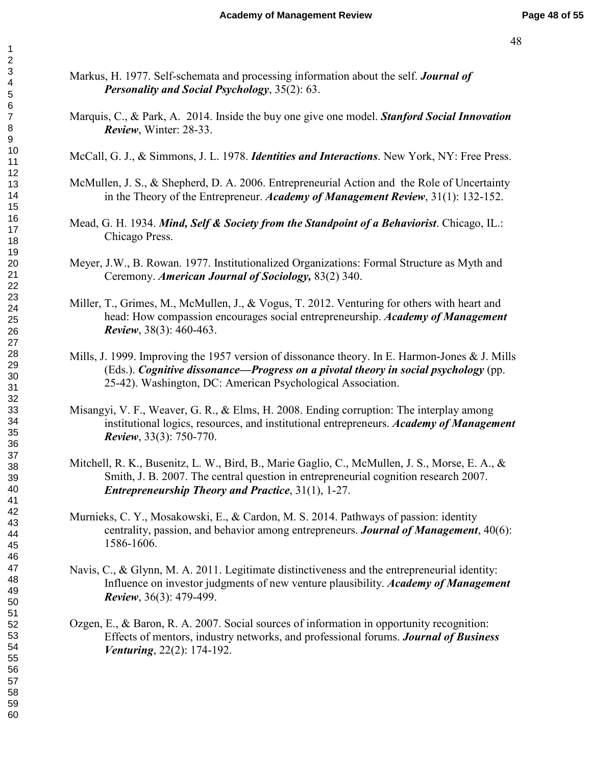- Markus, H. 1977. Self-schemata and processing information about the self. *Journal of Personality and Social Psychology*, 35(2): 63.
- Marquis, C., & Park, A. 2014. Inside the buy one give one model. *Stanford Social Innovation Review*, Winter: 28-33.
- McCall, G. J., & Simmons, J. L. 1978. *Identities and Interactions*. New York, NY: Free Press.
- McMullen, J. S., & Shepherd, D. A. 2006. Entrepreneurial Action and the Role of Uncertainty in the Theory of the Entrepreneur. *Academy of Management Review*, 31(1): 132-152.
- Mead, G. H. 1934. *Mind, Self & Society from the Standpoint of a Behaviorist*. Chicago, IL.: Chicago Press.
- Meyer, J.W., B. Rowan. 1977. Institutionalized Organizations: Formal Structure as Myth and Ceremony. *American Journal of Sociology,* 83(2) 340.
- Miller, T., Grimes, M., McMullen, J., & Vogus, T. 2012. Venturing for others with heart and head: How compassion encourages social entrepreneurship. *Academy of Management Review*, 38(3): 460-463.
- Mills, J. 1999. Improving the 1957 version of dissonance theory. In E. Harmon-Jones & J. Mills (Eds.). *Cognitive dissonance—Progress on a pivotal theory in social psychology* (pp. 25-42). Washington, DC: American Psychological Association.
- Misangyi, V. F., Weaver, G. R., & Elms, H. 2008. Ending corruption: The interplay among institutional logics, resources, and institutional entrepreneurs. *Academy of Management Review*, 33(3): 750-770.
- Mitchell, R. K., Busenitz, L. W., Bird, B., Marie Gaglio, C., McMullen, J. S., Morse, E. A., & Smith, J. B. 2007. The central question in entrepreneurial cognition research 2007. *Entrepreneurship Theory and Practice*, 31(1), 1-27.
- Murnieks, C. Y., Mosakowski, E., & Cardon, M. S. 2014. Pathways of passion: identity centrality, passion, and behavior among entrepreneurs. *Journal of Management*, 40(6): 1586-1606.
- Navis, C., & Glynn, M. A. 2011. Legitimate distinctiveness and the entrepreneurial identity: Influence on investor judgments of new venture plausibility. *Academy of Management Review*, 36(3): 479-499.
- Ozgen, E., & Baron, R. A. 2007. Social sources of information in opportunity recognition: Effects of mentors, industry networks, and professional forums. *Journal of Business Venturing*, 22(2): 174-192.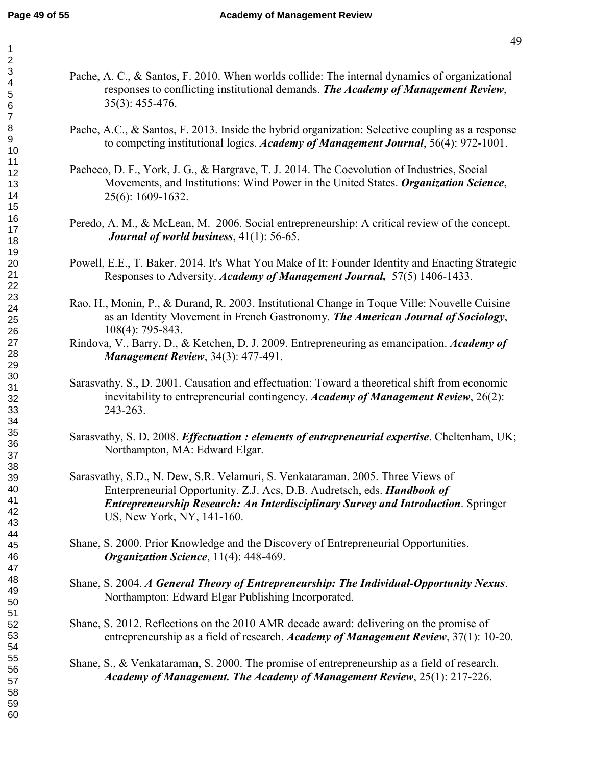- Pache, A. C., & Santos, F. 2010. When worlds collide: The internal dynamics of organizational responses to conflicting institutional demands. *The Academy of Management Review*, 35(3): 455-476.
- Pache, A.C., & Santos, F. 2013. Inside the hybrid organization: Selective coupling as a response to competing institutional logics. *Academy of Management Journal*, 56(4): 972-1001.
- Pacheco, D. F., York, J. G., & Hargrave, T. J. 2014. The Coevolution of Industries, Social Movements, and Institutions: Wind Power in the United States. *Organization Science*, 25(6): 1609-1632.
- Peredo, A. M., & McLean, M. 2006. Social entrepreneurship: A critical review of the concept. *Journal of world business*, 41(1): 56-65.
- Powell, E.E., T. Baker. 2014. It's What You Make of It: Founder Identity and Enacting Strategic Responses to Adversity. *Academy of Management Journal,* 57(5) 1406-1433.
- Rao, H., Monin, P., & Durand, R. 2003. Institutional Change in Toque Ville: Nouvelle Cuisine as an Identity Movement in French Gastronomy. *The American Journal of Sociology*, 108(4): 795-843.
- Rindova, V., Barry, D., & Ketchen, D. J. 2009. Entrepreneuring as emancipation. *Academy of Management Review*, 34(3): 477-491.
- Sarasvathy, S., D. 2001. Causation and effectuation: Toward a theoretical shift from economic inevitability to entrepreneurial contingency. *Academy of Management Review*, 26(2): 243-263.
- Sarasvathy, S. D. 2008. *Effectuation : elements of entrepreneurial expertise*. Cheltenham, UK; Northampton, MA: Edward Elgar.
- Sarasvathy, S.D., N. Dew, S.R. Velamuri, S. Venkataraman. 2005. Three Views of Enterpreneurial Opportunity. Z.J. Acs, D.B. Audretsch, eds. *Handbook of Entrepreneurship Research: An Interdisciplinary Survey and Introduction*. Springer US, New York, NY, 141-160.
- Shane, S. 2000. Prior Knowledge and the Discovery of Entrepreneurial Opportunities. *Organization Science*, 11(4): 448-469.
- Shane, S. 2004. *A General Theory of Entrepreneurship: The Individual-Opportunity Nexus*. Northampton: Edward Elgar Publishing Incorporated.
- Shane, S. 2012. Reflections on the 2010 AMR decade award: delivering on the promise of entrepreneurship as a field of research. *Academy of Management Review*, 37(1): 10-20.
- Shane, S., & Venkataraman, S. 2000. The promise of entrepreneurship as a field of research. *Academy of Management. The Academy of Management Review*, 25(1): 217-226.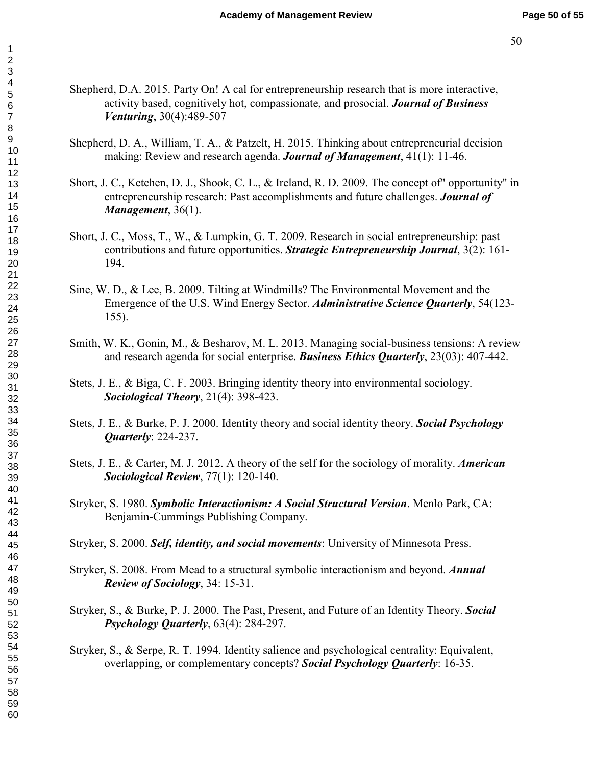- Shepherd, D.A. 2015. Party On! A cal for entrepreneurship research that is more interactive, activity based, cognitively hot, compassionate, and prosocial. *Journal of Business Venturing*, 30(4):489-507
- Shepherd, D. A., William, T. A., & Patzelt, H. 2015. Thinking about entrepreneurial decision making: Review and research agenda. *Journal of Management*, 41(1): 11-46.
- Short, J. C., Ketchen, D. J., Shook, C. L., & Ireland, R. D. 2009. The concept of" opportunity" in entrepreneurship research: Past accomplishments and future challenges. *Journal of Management*, 36(1).
- Short, J. C., Moss, T., W., & Lumpkin, G. T. 2009. Research in social entrepreneurship: past contributions and future opportunities. *Strategic Entrepreneurship Journal*, 3(2): 161- 194.
- Sine, W. D., & Lee, B. 2009. Tilting at Windmills? The Environmental Movement and the Emergence of the U.S. Wind Energy Sector. *Administrative Science Quarterly*, 54(123- 155).
- Smith, W. K., Gonin, M., & Besharov, M. L. 2013. Managing social-business tensions: A review and research agenda for social enterprise. *Business Ethics Quarterly*, 23(03): 407-442.
- Stets, J. E., & Biga, C. F. 2003. Bringing identity theory into environmental sociology. *Sociological Theory*, 21(4): 398-423.
- Stets, J. E., & Burke, P. J. 2000. Identity theory and social identity theory. *Social Psychology Quarterly*: 224-237.
- Stets, J. E., & Carter, M. J. 2012. A theory of the self for the sociology of morality. *American Sociological Review*, 77(1): 120-140.
- Stryker, S. 1980. *Symbolic Interactionism: A Social Structural Version*. Menlo Park, CA: Benjamin-Cummings Publishing Company.

Stryker, S. 2000. *Self, identity, and social movements*: University of Minnesota Press.

- Stryker, S. 2008. From Mead to a structural symbolic interactionism and beyond. *Annual Review of Sociology*, 34: 15-31.
- Stryker, S., & Burke, P. J. 2000. The Past, Present, and Future of an Identity Theory. *Social Psychology Quarterly*, 63(4): 284-297.
- Stryker, S., & Serpe, R. T. 1994. Identity salience and psychological centrality: Equivalent, overlapping, or complementary concepts? *Social Psychology Quarterly*: 16-35.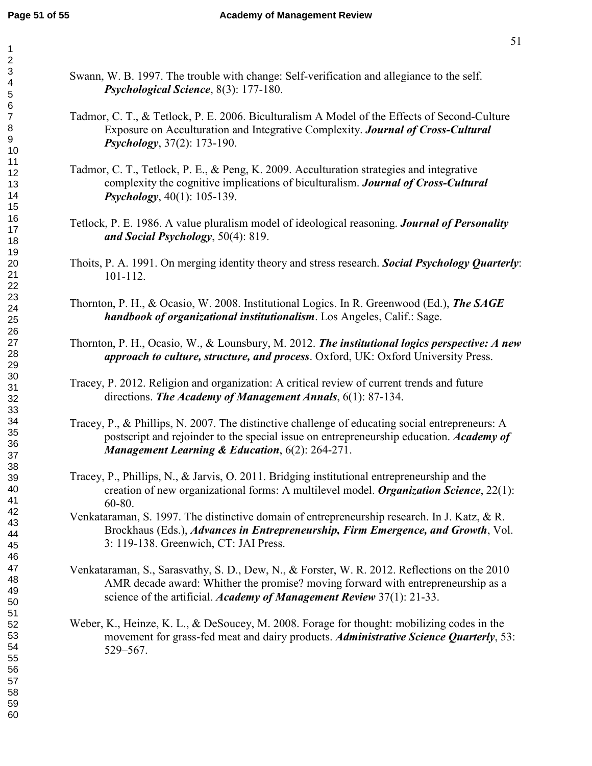- Swann, W. B. 1997. The trouble with change: Self-verification and allegiance to the self. *Psychological Science*, 8(3): 177-180.
- Tadmor, C. T., & Tetlock, P. E. 2006. Biculturalism A Model of the Effects of Second-Culture Exposure on Acculturation and Integrative Complexity. *Journal of Cross-Cultural Psychology*, 37(2): 173-190.
- Tadmor, C. T., Tetlock, P. E., & Peng, K. 2009. Acculturation strategies and integrative complexity the cognitive implications of biculturalism. *Journal of Cross-Cultural Psychology*, 40(1): 105-139.
- Tetlock, P. E. 1986. A value pluralism model of ideological reasoning. *Journal of Personality and Social Psychology*, 50(4): 819.
- Thoits, P. A. 1991. On merging identity theory and stress research. *Social Psychology Quarterly*: 101-112.
- Thornton, P. H., & Ocasio, W. 2008. Institutional Logics. In R. Greenwood (Ed.), *The SAGE handbook of organizational institutionalism*. Los Angeles, Calif.: Sage.
- Thornton, P. H., Ocasio, W., & Lounsbury, M. 2012. *The institutional logics perspective: A new approach to culture, structure, and process*. Oxford, UK: Oxford University Press.
- Tracey, P. 2012. Religion and organization: A critical review of current trends and future directions. *The Academy of Management Annals*, 6(1): 87-134.
- Tracey, P., & Phillips, N. 2007. The distinctive challenge of educating social entrepreneurs: A postscript and rejoinder to the special issue on entrepreneurship education. *Academy of Management Learning & Education*, 6(2): 264-271.
- Tracey, P., Phillips, N., & Jarvis, O. 2011. Bridging institutional entrepreneurship and the creation of new organizational forms: A multilevel model. *Organization Science*, 22(1): 60-80.
- Venkataraman, S. 1997. The distinctive domain of entrepreneurship research. In J. Katz, & R. Brockhaus (Eds.), *Advances in Entrepreneurship, Firm Emergence, and Growth*, Vol. 3: 119-138. Greenwich, CT: JAI Press.
- Venkataraman, S., Sarasvathy, S. D., Dew, N., & Forster, W. R. 2012. Reflections on the 2010 AMR decade award: Whither the promise? moving forward with entrepreneurship as a science of the artificial. *Academy of Management Review* 37(1): 21-33.
- Weber, K., Heinze, K. L., & DeSoucey, M. 2008. Forage for thought: mobilizing codes in the movement for grass-fed meat and dairy products. *Administrative Science Quarterly*, 53: 529–567.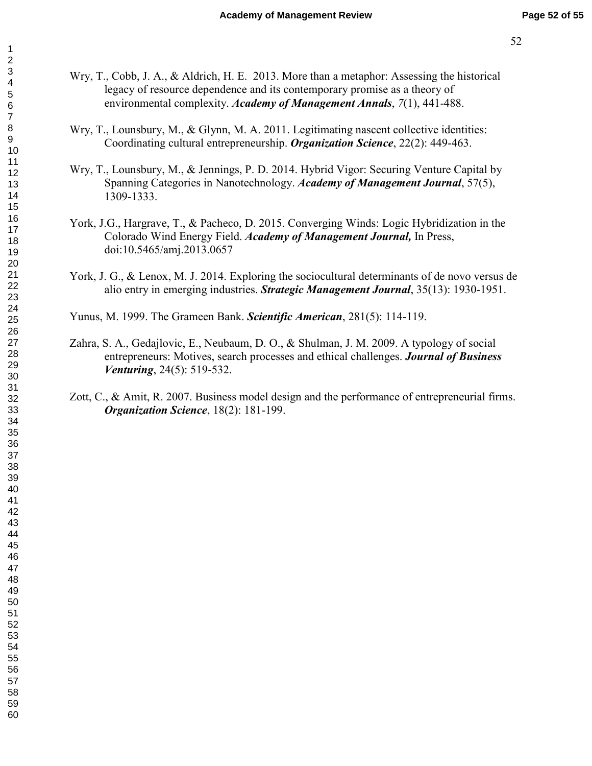- Wry, T., Cobb, J. A., & Aldrich, H. E. 2013. More than a metaphor: Assessing the historical legacy of resource dependence and its contemporary promise as a theory of environmental complexity. *Academy of Management Annals*, *7*(1), 441-488.
- Wry, T., Lounsbury, M., & Glynn, M. A. 2011. Legitimating nascent collective identities: Coordinating cultural entrepreneurship. *Organization Science*, 22(2): 449-463.
- Wry, T., Lounsbury, M., & Jennings, P. D. 2014. Hybrid Vigor: Securing Venture Capital by Spanning Categories in Nanotechnology. *Academy of Management Journal*, 57(5), 1309-1333.
- York, J.G., Hargrave, T., & Pacheco, D. 2015. Converging Winds: Logic Hybridization in the Colorado Wind Energy Field. *Academy of Management Journal,* In Press, doi:10.5465/amj.2013.0657
- York, J. G., & Lenox, M. J. 2014. Exploring the sociocultural determinants of de novo versus de alio entry in emerging industries. *Strategic Management Journal*, 35(13): 1930-1951.

Yunus, M. 1999. The Grameen Bank. *Scientific American*, 281(5): 114-119.

- Zahra, S. A., Gedajlovic, E., Neubaum, D. O., & Shulman, J. M. 2009. A typology of social entrepreneurs: Motives, search processes and ethical challenges. *Journal of Business Venturing*, 24(5): 519-532.
- Zott, C., & Amit, R. 2007. Business model design and the performance of entrepreneurial firms. *Organization Science*, 18(2): 181-199.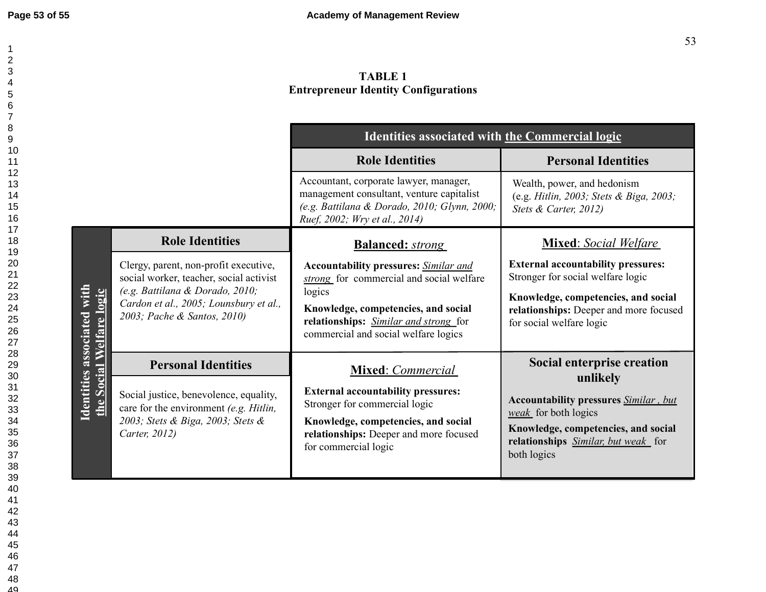**TABLE 1 Entrepreneur Identity Configurations** 

|                                                                         |                                                                                                                                                                                              | <b>Identities associated with the Commercial logic</b>                                                                                                                                                                            |                                                                                                                                                                                             |  |  |
|-------------------------------------------------------------------------|----------------------------------------------------------------------------------------------------------------------------------------------------------------------------------------------|-----------------------------------------------------------------------------------------------------------------------------------------------------------------------------------------------------------------------------------|---------------------------------------------------------------------------------------------------------------------------------------------------------------------------------------------|--|--|
|                                                                         |                                                                                                                                                                                              | <b>Role Identities</b>                                                                                                                                                                                                            | <b>Personal Identities</b>                                                                                                                                                                  |  |  |
|                                                                         |                                                                                                                                                                                              | Accountant, corporate lawyer, manager,<br>management consultant, venture capitalist<br>(e.g. Battilana & Dorado, 2010; Glynn, 2000;<br>Ruef, 2002; Wry et al., 2014)                                                              | Wealth, power, and hedonism<br>(e.g. Hitlin, 2003; Stets & Biga, 2003;<br>Stets & Carter, 2012)                                                                                             |  |  |
| with<br>Welfare logic<br>associated<br>the Social<br><b>I</b> dentities | <b>Role Identities</b>                                                                                                                                                                       | <b>Balanced:</b> strong                                                                                                                                                                                                           | <b>Mixed:</b> Social Welfare                                                                                                                                                                |  |  |
|                                                                         | Clergy, parent, non-profit executive,<br>social worker, teacher, social activist<br>(e.g. Battilana & Dorado, 2010;<br>Cardon et al., 2005; Lounsbury et al.,<br>2003; Pache & Santos, 2010) | <b>Accountability pressures:</b> Similar and<br>strong for commercial and social welfare<br>logics<br>Knowledge, competencies, and social<br>relationships: <i>Similar and strong</i> for<br>commercial and social welfare logics | <b>External accountability pressures:</b><br>Stronger for social welfare logic<br>Knowledge, competencies, and social<br>relationships: Deeper and more focused<br>for social welfare logic |  |  |
|                                                                         | <b>Personal Identities</b>                                                                                                                                                                   | <b>Mixed:</b> Commercial                                                                                                                                                                                                          | Social enterprise creation                                                                                                                                                                  |  |  |
|                                                                         | Social justice, benevolence, equality,<br>care for the environment (e.g. Hitlin,<br>2003; Stets & Biga, 2003; Stets &<br>Carter, 2012)                                                       | <b>External accountability pressures:</b><br>Stronger for commercial logic<br>Knowledge, competencies, and social<br>relationships: Deeper and more focused<br>for commercial logic                                               | unlikely<br><b>Accountability pressures Similar, but</b><br>weak for both logics<br>Knowledge, competencies, and social<br>relationships Similar, but weak_for<br>both logics               |  |  |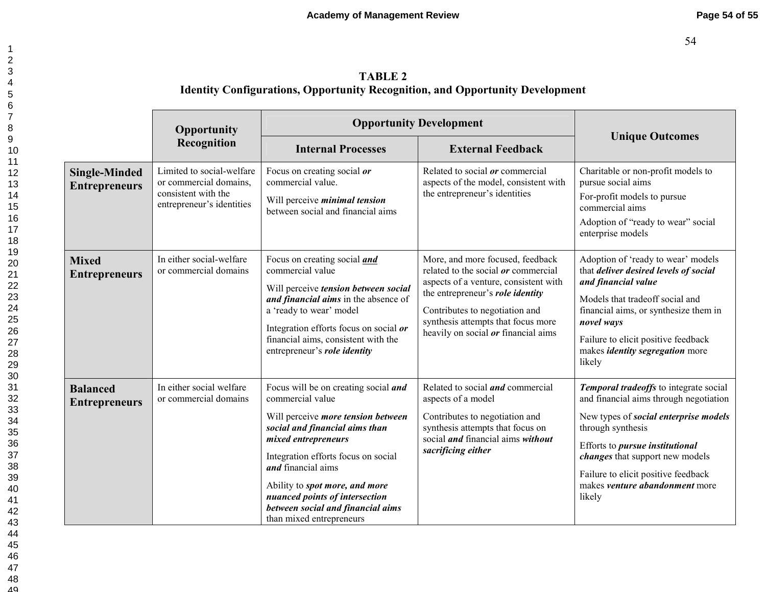**TABLE 2 Identity Configurations, Opportunity Recognition, and Opportunity Development** 

|                                              | Opportunity                                                                                             | <b>Opportunity Development</b>                                                                                                                                                                                                                                                                                                                            |                                                                                                                                                                                                                                                                                   |                                                                                                                                                                                                                                                                                                                       |
|----------------------------------------------|---------------------------------------------------------------------------------------------------------|-----------------------------------------------------------------------------------------------------------------------------------------------------------------------------------------------------------------------------------------------------------------------------------------------------------------------------------------------------------|-----------------------------------------------------------------------------------------------------------------------------------------------------------------------------------------------------------------------------------------------------------------------------------|-----------------------------------------------------------------------------------------------------------------------------------------------------------------------------------------------------------------------------------------------------------------------------------------------------------------------|
|                                              | Recognition                                                                                             | <b>Internal Processes</b>                                                                                                                                                                                                                                                                                                                                 | <b>External Feedback</b>                                                                                                                                                                                                                                                          | <b>Unique Outcomes</b>                                                                                                                                                                                                                                                                                                |
| <b>Single-Minded</b><br><b>Entrepreneurs</b> | Limited to social-welfare<br>or commercial domains,<br>consistent with the<br>entrepreneur's identities | Focus on creating social or<br>commercial value.<br>Will perceive <i>minimal tension</i><br>between social and financial aims                                                                                                                                                                                                                             | Related to social <i>or</i> commercial<br>aspects of the model, consistent with<br>the entrepreneur's identities                                                                                                                                                                  | Charitable or non-profit models to<br>pursue social aims<br>For-profit models to pursue<br>commercial aims<br>Adoption of "ready to wear" social<br>enterprise models                                                                                                                                                 |
| <b>Mixed</b><br><b>Entrepreneurs</b>         | In either social-welfare<br>or commercial domains                                                       | Focus on creating social <i>and</i><br>commercial value<br>Will perceive tension between social<br>and financial aims in the absence of<br>a 'ready to wear' model<br>Integration efforts focus on social or<br>financial aims, consistent with the<br>entrepreneur's role identity                                                                       | More, and more focused, feedback<br>related to the social <i>or</i> commercial<br>aspects of a venture, consistent with<br>the entrepreneur's role identity<br>Contributes to negotiation and<br>synthesis attempts that focus more<br>heavily on social <i>or</i> financial aims | Adoption of 'ready to wear' models<br>that deliver desired levels of social<br>and financial value<br>Models that tradeoff social and<br>financial aims, or synthesize them in<br>novel ways<br>Failure to elicit positive feedback<br>makes <i>identity</i> segregation more<br>likely                               |
| <b>Balanced</b><br><b>Entrepreneurs</b>      | In either social welfare<br>or commercial domains                                                       | Focus will be on creating social and<br>commercial value<br>Will perceive more tension between<br>social and financial aims than<br>mixed entrepreneurs<br>Integration efforts focus on social<br>and financial aims<br>Ability to spot more, and more<br>nuanced points of intersection<br>between social and financial aims<br>than mixed entrepreneurs | Related to social <i>and</i> commercial<br>aspects of a model<br>Contributes to negotiation and<br>synthesis attempts that focus on<br>social <i>and</i> financial aims without<br>sacrificing either                                                                             | Temporal tradeoffs to integrate social<br>and financial aims through negotiation<br>New types of social enterprise models<br>through synthesis<br>Efforts to <i>pursue</i> institutional<br><i>changes</i> that support new models<br>Failure to elicit positive feedback<br>makes venture abandonment more<br>likely |